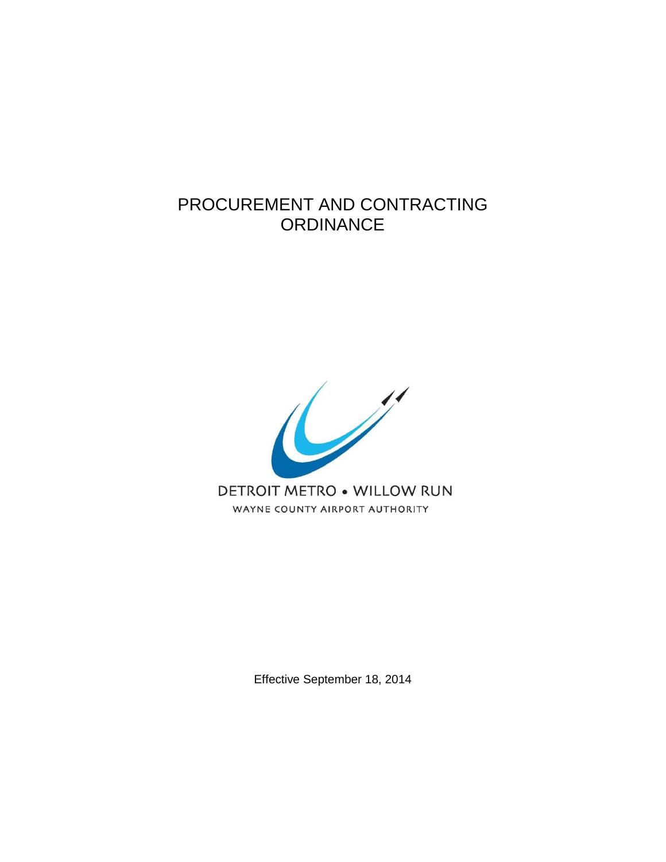# PROCUREMENT AND CONTRACTING **ORDINANCE**



Effective September 18, 2014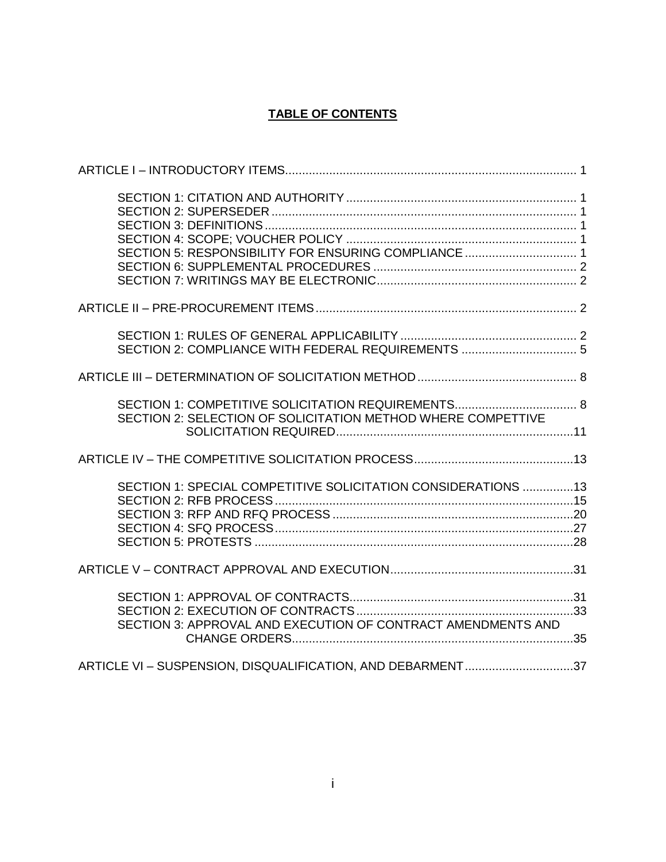# **TABLE OF CONTENTS**

| SECTION 2: COMPLIANCE WITH FEDERAL REQUIREMENTS  5            |  |
|---------------------------------------------------------------|--|
|                                                               |  |
| SECTION 2: SELECTION OF SOLICITATION METHOD WHERE COMPETTIVE  |  |
|                                                               |  |
| SECTION 1: SPECIAL COMPETITIVE SOLICITATION CONSIDERATIONS 13 |  |
|                                                               |  |
| SECTION 3: APPROVAL AND EXECUTION OF CONTRACT AMENDMENTS AND  |  |
| ARTICLE VI - SUSPENSION, DISQUALIFICATION, AND DEBARMENT37    |  |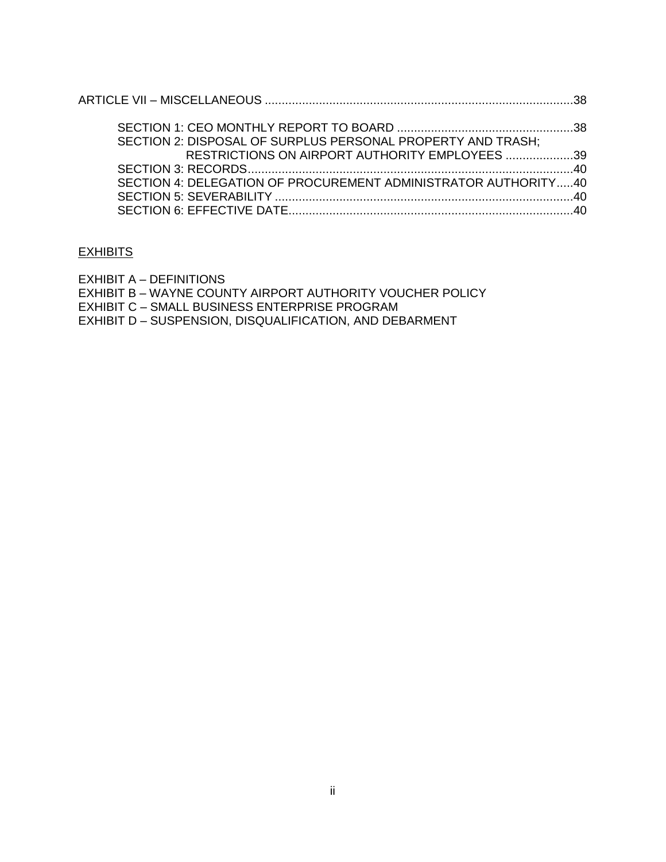| ARTICLE VII – MISCELLANEOUS …………………………………………………………………………………38  |  |
|----------------------------------------------------------------|--|
|                                                                |  |
|                                                                |  |
| SECTION 2: DISPOSAL OF SURPLUS PERSONAL PROPERTY AND TRASH:    |  |
| RESTRICTIONS ON AIRPORT AUTHORITY EMPLOYEES 39                 |  |
|                                                                |  |
| SECTION 4: DELEGATION OF PROCUREMENT ADMINISTRATOR AUTHORITY40 |  |
|                                                                |  |
|                                                                |  |

# **EXHIBITS**

EXHIBIT A – DEFINITIONS

EXHIBIT B – WAYNE COUNTY AIRPORT AUTHORITY VOUCHER POLICY

EXHIBIT C – SMALL BUSINESS ENTERPRISE PROGRAM

EXHIBIT D – SUSPENSION, DISQUALIFICATION, AND DEBARMENT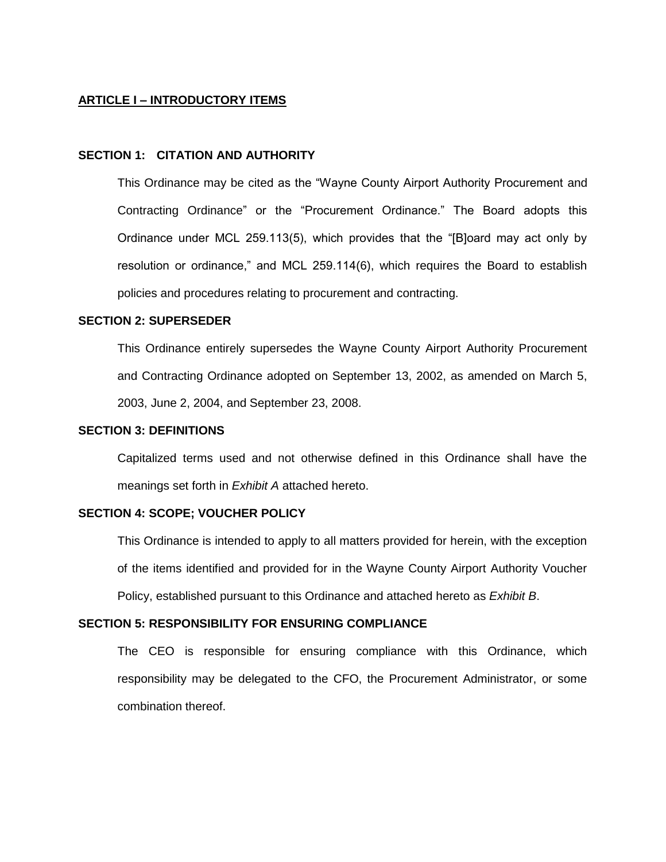# **ARTICLE I – INTRODUCTORY ITEMS**

## **SECTION 1: CITATION AND AUTHORITY**

This Ordinance may be cited as the "Wayne County Airport Authority Procurement and Contracting Ordinance" or the "Procurement Ordinance." The Board adopts this Ordinance under MCL 259.113(5), which provides that the "[B]oard may act only by resolution or ordinance," and MCL 259.114(6), which requires the Board to establish policies and procedures relating to procurement and contracting.

### **SECTION 2: SUPERSEDER**

This Ordinance entirely supersedes the Wayne County Airport Authority Procurement and Contracting Ordinance adopted on September 13, 2002, as amended on March 5, 2003, June 2, 2004, and September 23, 2008.

# **SECTION 3: DEFINITIONS**

Capitalized terms used and not otherwise defined in this Ordinance shall have the meanings set forth in *Exhibit A* attached hereto.

# **SECTION 4: SCOPE; VOUCHER POLICY**

This Ordinance is intended to apply to all matters provided for herein, with the exception of the items identified and provided for in the Wayne County Airport Authority Voucher Policy, established pursuant to this Ordinance and attached hereto as *Exhibit B*.

### **SECTION 5: RESPONSIBILITY FOR ENSURING COMPLIANCE**

The CEO is responsible for ensuring compliance with this Ordinance, which responsibility may be delegated to the CFO, the Procurement Administrator, or some combination thereof.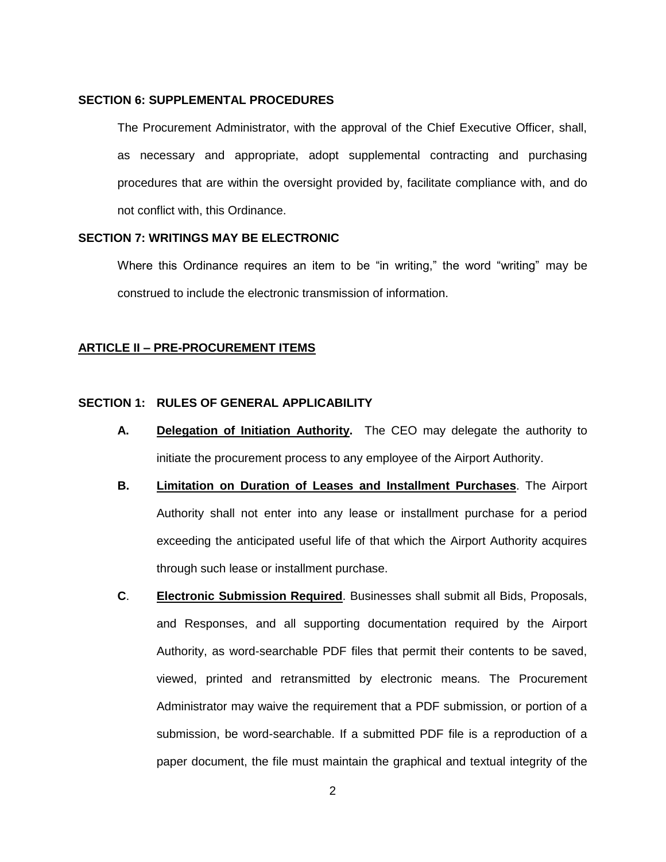#### **SECTION 6: SUPPLEMENTAL PROCEDURES**

The Procurement Administrator, with the approval of the Chief Executive Officer, shall, as necessary and appropriate, adopt supplemental contracting and purchasing procedures that are within the oversight provided by, facilitate compliance with, and do not conflict with, this Ordinance.

#### **SECTION 7: WRITINGS MAY BE ELECTRONIC**

Where this Ordinance requires an item to be "in writing," the word "writing" may be construed to include the electronic transmission of information.

# **ARTICLE II – PRE-PROCUREMENT ITEMS**

#### **SECTION 1: RULES OF GENERAL APPLICABILITY**

- **A. Delegation of Initiation Authority.** The CEO may delegate the authority to initiate the procurement process to any employee of the Airport Authority.
- **B. Limitation on Duration of Leases and Installment Purchases**. The Airport Authority shall not enter into any lease or installment purchase for a period exceeding the anticipated useful life of that which the Airport Authority acquires through such lease or installment purchase.
- **C**. **Electronic Submission Required**. Businesses shall submit all Bids, Proposals, and Responses, and all supporting documentation required by the Airport Authority, as word-searchable PDF files that permit their contents to be saved, viewed, printed and retransmitted by electronic means. The Procurement Administrator may waive the requirement that a PDF submission, or portion of a submission, be word-searchable. If a submitted PDF file is a reproduction of a paper document, the file must maintain the graphical and textual integrity of the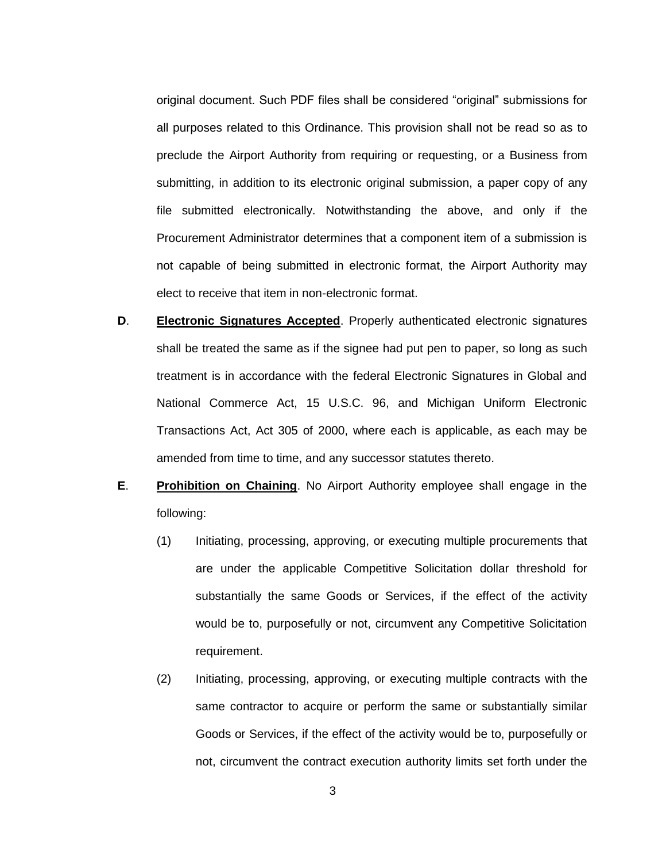original document. Such PDF files shall be considered "original" submissions for all purposes related to this Ordinance. This provision shall not be read so as to preclude the Airport Authority from requiring or requesting, or a Business from submitting, in addition to its electronic original submission, a paper copy of any file submitted electronically. Notwithstanding the above, and only if the Procurement Administrator determines that a component item of a submission is not capable of being submitted in electronic format, the Airport Authority may elect to receive that item in non-electronic format.

- **D**. **Electronic Signatures Accepted**. Properly authenticated electronic signatures shall be treated the same as if the signee had put pen to paper, so long as such treatment is in accordance with the federal Electronic Signatures in Global and National Commerce Act, 15 U.S.C. 96, and Michigan Uniform Electronic Transactions Act, Act 305 of 2000, where each is applicable, as each may be amended from time to time, and any successor statutes thereto.
- **E**. **Prohibition on Chaining**. No Airport Authority employee shall engage in the following:
	- (1) Initiating, processing, approving, or executing multiple procurements that are under the applicable Competitive Solicitation dollar threshold for substantially the same Goods or Services, if the effect of the activity would be to, purposefully or not, circumvent any Competitive Solicitation requirement.
	- (2) Initiating, processing, approving, or executing multiple contracts with the same contractor to acquire or perform the same or substantially similar Goods or Services, if the effect of the activity would be to, purposefully or not, circumvent the contract execution authority limits set forth under the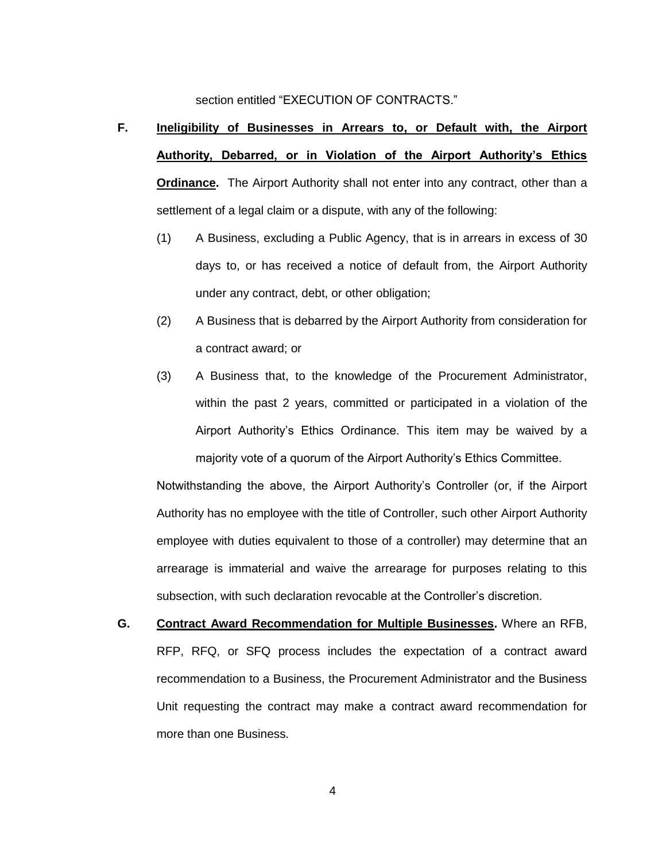section entitled "EXECUTION OF CONTRACTS."

- **F. Ineligibility of Businesses in Arrears to, or Default with, the Airport Authority, Debarred, or in Violation of the Airport Authority's Ethics Ordinance.** The Airport Authority shall not enter into any contract, other than a settlement of a legal claim or a dispute, with any of the following:
	- (1) A Business, excluding a Public Agency, that is in arrears in excess of 30 days to, or has received a notice of default from, the Airport Authority under any contract, debt, or other obligation;
	- (2) A Business that is debarred by the Airport Authority from consideration for a contract award; or
	- (3) A Business that, to the knowledge of the Procurement Administrator, within the past 2 years, committed or participated in a violation of the Airport Authority's Ethics Ordinance. This item may be waived by a majority vote of a quorum of the Airport Authority's Ethics Committee.

Notwithstanding the above, the Airport Authority's Controller (or, if the Airport Authority has no employee with the title of Controller, such other Airport Authority employee with duties equivalent to those of a controller) may determine that an arrearage is immaterial and waive the arrearage for purposes relating to this subsection, with such declaration revocable at the Controller's discretion.

**G. Contract Award Recommendation for Multiple Businesses.** Where an RFB, RFP, RFQ, or SFQ process includes the expectation of a contract award recommendation to a Business, the Procurement Administrator and the Business Unit requesting the contract may make a contract award recommendation for more than one Business.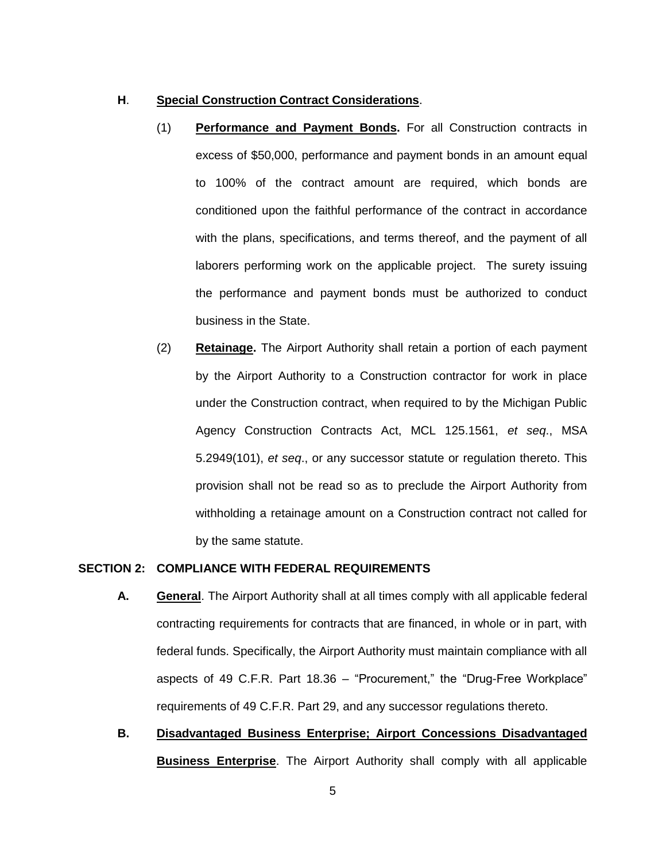#### **H**. **Special Construction Contract Considerations**.

- (1) **Performance and Payment Bonds.** For all Construction contracts in excess of \$50,000, performance and payment bonds in an amount equal to 100% of the contract amount are required, which bonds are conditioned upon the faithful performance of the contract in accordance with the plans, specifications, and terms thereof, and the payment of all laborers performing work on the applicable project. The surety issuing the performance and payment bonds must be authorized to conduct business in the State.
- (2) **Retainage.** The Airport Authority shall retain a portion of each payment by the Airport Authority to a Construction contractor for work in place under the Construction contract, when required to by the Michigan Public Agency Construction Contracts Act, MCL 125.1561, *et seq*., MSA 5.2949(101), *et seq*., or any successor statute or regulation thereto. This provision shall not be read so as to preclude the Airport Authority from withholding a retainage amount on a Construction contract not called for by the same statute.

#### **SECTION 2: COMPLIANCE WITH FEDERAL REQUIREMENTS**

- **A. General**. The Airport Authority shall at all times comply with all applicable federal contracting requirements for contracts that are financed, in whole or in part, with federal funds. Specifically, the Airport Authority must maintain compliance with all aspects of 49 C.F.R. Part 18.36 – "Procurement," the "Drug-Free Workplace" requirements of 49 C.F.R. Part 29, and any successor regulations thereto.
- **B. Disadvantaged Business Enterprise; Airport Concessions Disadvantaged Business Enterprise**. The Airport Authority shall comply with all applicable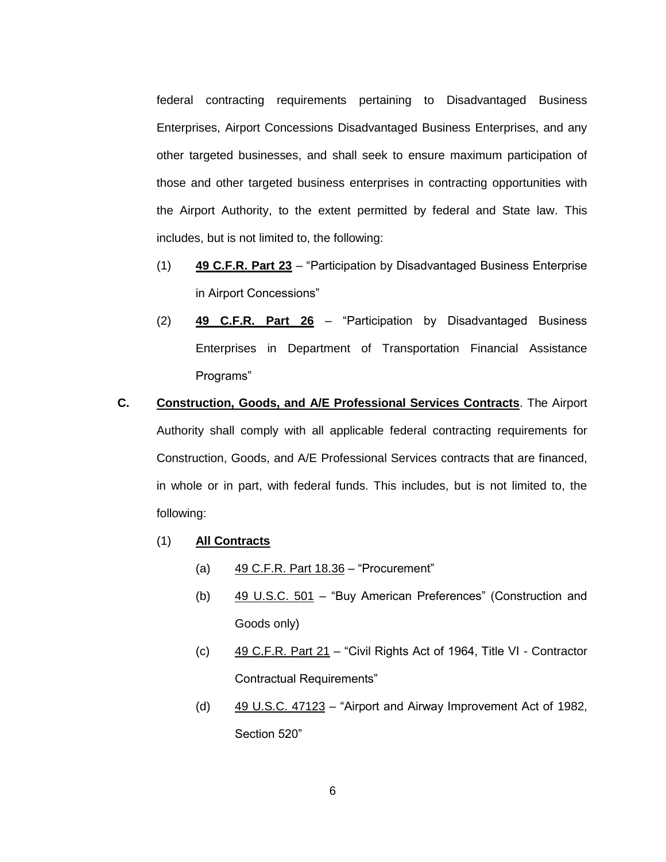federal contracting requirements pertaining to Disadvantaged Business Enterprises, Airport Concessions Disadvantaged Business Enterprises, and any other targeted businesses, and shall seek to ensure maximum participation of those and other targeted business enterprises in contracting opportunities with the Airport Authority, to the extent permitted by federal and State law. This includes, but is not limited to, the following:

- (1) **49 C.F.R. Part 23** "Participation by Disadvantaged Business Enterprise in Airport Concessions"
- (2) **49 C.F.R. Part 26** "Participation by Disadvantaged Business Enterprises in Department of Transportation Financial Assistance Programs"
- **C. Construction, Goods, and A/E Professional Services Contracts**. The Airport Authority shall comply with all applicable federal contracting requirements for Construction, Goods, and A/E Professional Services contracts that are financed, in whole or in part, with federal funds. This includes, but is not limited to, the following:
	- (1) **All Contracts** 
		- (a) 49 C.F.R. Part 18.36 "Procurement"
		- (b) 49 U.S.C. 501 "Buy American Preferences" (Construction and Goods only)
		- (c) 49 C.F.R. Part 21 "Civil Rights Act of 1964, Title VI Contractor Contractual Requirements"
		- (d)  $49 \text{ U.S.C. } 47123 49 \text{ K}$  Airport and Airway Improvement Act of 1982, Section 520"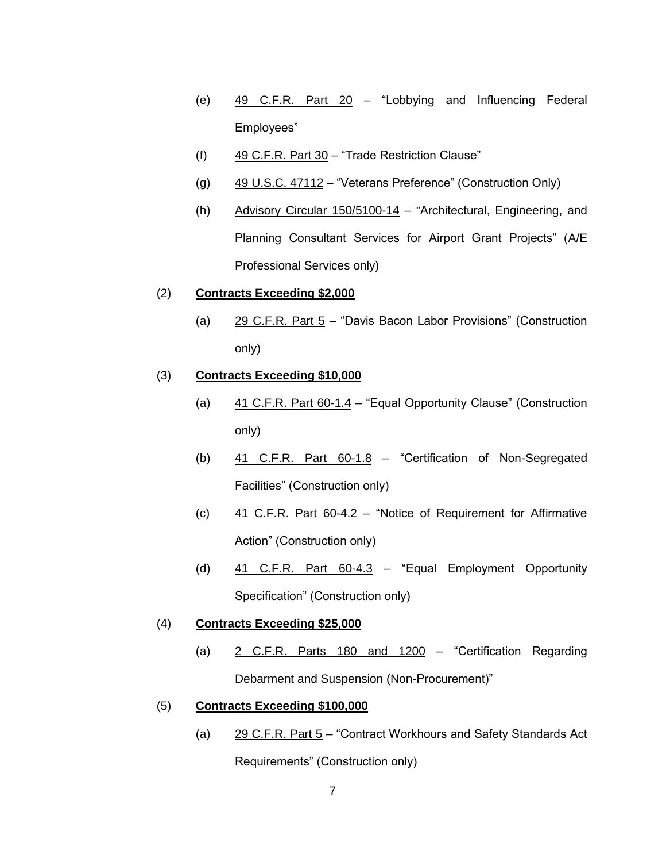- (e) 49 C.F.R. Part 20 "Lobbying and Influencing Federal Employees"
- (f)  $49$  C.F.R. Part  $30$  "Trade Restriction Clause"
- (g) 49 U.S.C. 47112 "Veterans Preference" (Construction Only)
- (h) Advisory Circular 150/5100-14 "Architectural, Engineering, and Planning Consultant Services for Airport Grant Projects" (A/E Professional Services only)

# (2) **Contracts Exceeding \$2,000**

(a) 29 C.F.R. Part 5 – "Davis Bacon Labor Provisions" (Construction only)

# (3) **Contracts Exceeding \$10,000**

- (a) 41 C.F.R. Part 60-1.4 "Equal Opportunity Clause" (Construction only)
- (b) 41 C.F.R. Part 60-1.8 "Certification of Non-Segregated Facilities" (Construction only)
- (c) 41 C.F.R. Part 60-4.2 "Notice of Requirement for Affirmative Action" (Construction only)
- (d)  $41$  C.F.R. Part 60-4.3 "Equal Employment Opportunity Specification" (Construction only)

# (4) **Contracts Exceeding \$25,000**

(a)  $2$  C.F.R. Parts 180 and 1200 – "Certification Regarding Debarment and Suspension (Non-Procurement)"

# (5) **Contracts Exceeding \$100,000**

(a)  $29$  C.F.R. Part  $5$  – "Contract Workhours and Safety Standards Act Requirements" (Construction only)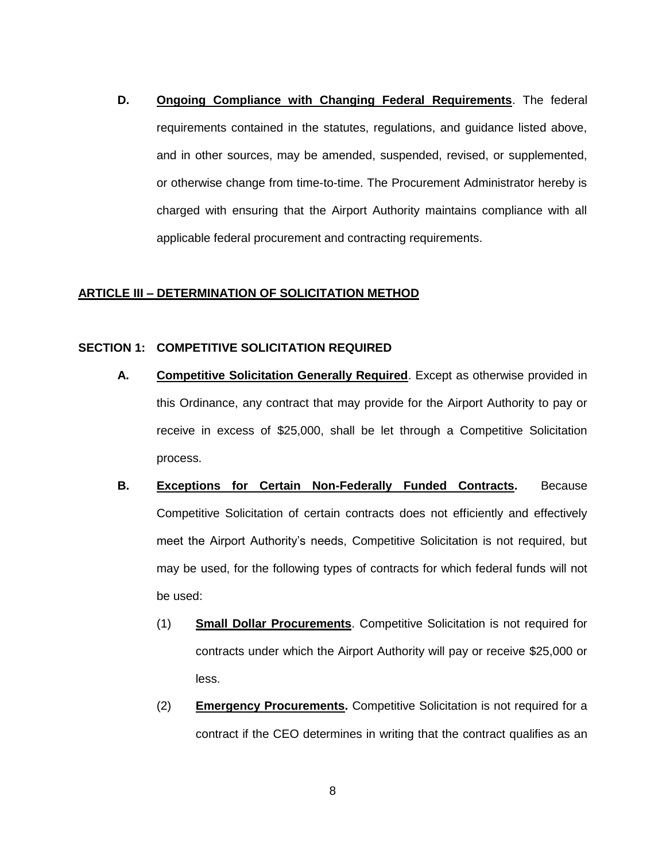**D. Ongoing Compliance with Changing Federal Requirements**. The federal requirements contained in the statutes, regulations, and guidance listed above, and in other sources, may be amended, suspended, revised, or supplemented, or otherwise change from time-to-time. The Procurement Administrator hereby is charged with ensuring that the Airport Authority maintains compliance with all applicable federal procurement and contracting requirements.

# **ARTICLE III – DETERMINATION OF SOLICITATION METHOD**

# **SECTION 1: COMPETITIVE SOLICITATION REQUIRED**

- **A. Competitive Solicitation Generally Required**. Except as otherwise provided in this Ordinance, any contract that may provide for the Airport Authority to pay or receive in excess of \$25,000, shall be let through a Competitive Solicitation process.
- **B. Exceptions for Certain Non-Federally Funded Contracts.** Because Competitive Solicitation of certain contracts does not efficiently and effectively meet the Airport Authority's needs, Competitive Solicitation is not required, but may be used, for the following types of contracts for which federal funds will not be used:
	- (1) **Small Dollar Procurements**. Competitive Solicitation is not required for contracts under which the Airport Authority will pay or receive \$25,000 or less.
	- (2) **Emergency Procurements.** Competitive Solicitation is not required for a contract if the CEO determines in writing that the contract qualifies as an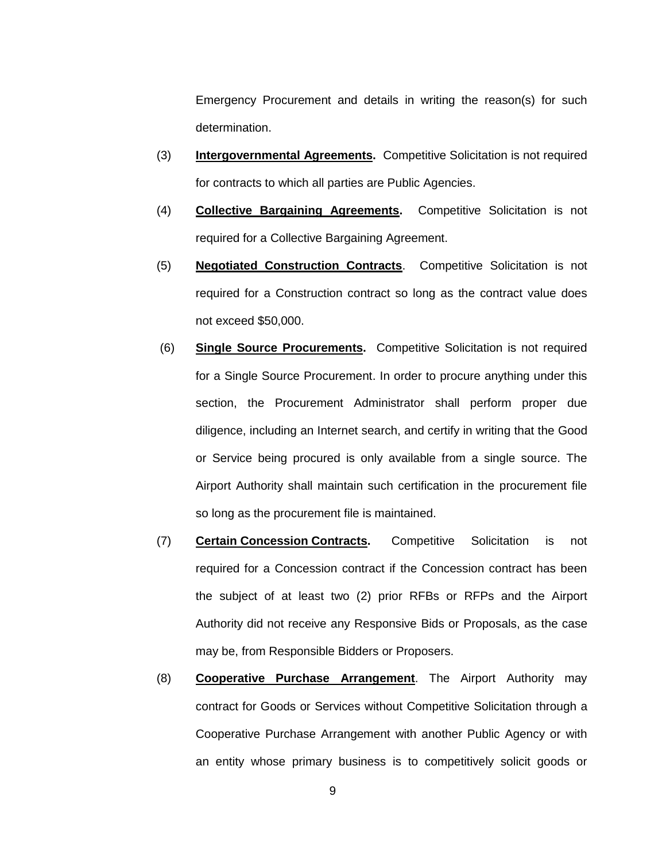Emergency Procurement and details in writing the reason(s) for such determination.

- (3) **Intergovernmental Agreements.** Competitive Solicitation is not required for contracts to which all parties are Public Agencies.
- (4) **Collective Bargaining Agreements.** Competitive Solicitation is not required for a Collective Bargaining Agreement.
- (5) **Negotiated Construction Contracts**. Competitive Solicitation is not required for a Construction contract so long as the contract value does not exceed \$50,000.
- (6) **Single Source Procurements.** Competitive Solicitation is not required for a Single Source Procurement. In order to procure anything under this section, the Procurement Administrator shall perform proper due diligence, including an Internet search, and certify in writing that the Good or Service being procured is only available from a single source. The Airport Authority shall maintain such certification in the procurement file so long as the procurement file is maintained.
- (7) **Certain Concession Contracts.** Competitive Solicitation is not required for a Concession contract if the Concession contract has been the subject of at least two (2) prior RFBs or RFPs and the Airport Authority did not receive any Responsive Bids or Proposals, as the case may be, from Responsible Bidders or Proposers.
- (8) **Cooperative Purchase Arrangement**. The Airport Authority may contract for Goods or Services without Competitive Solicitation through a Cooperative Purchase Arrangement with another Public Agency or with an entity whose primary business is to competitively solicit goods or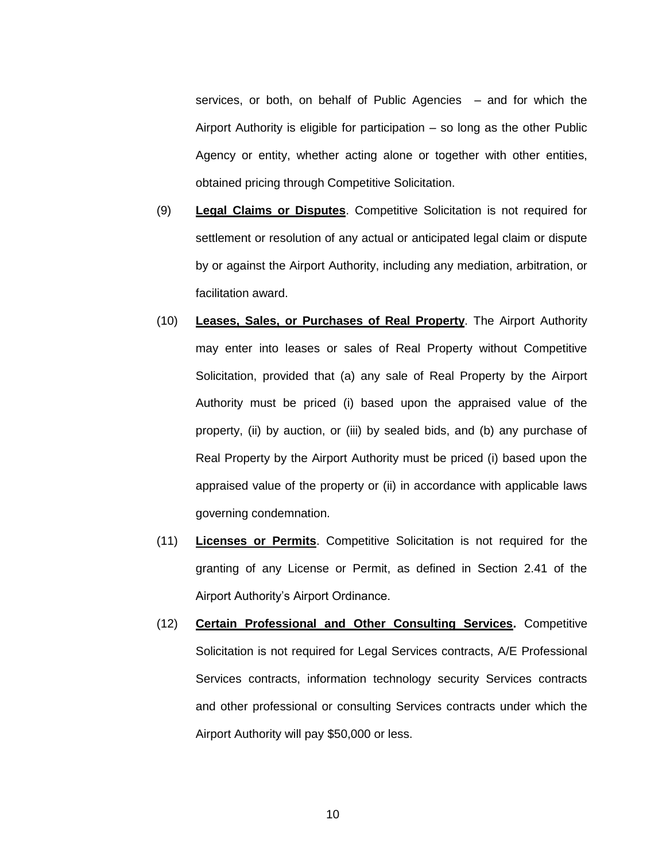services, or both, on behalf of Public Agencies – and for which the Airport Authority is eligible for participation – so long as the other Public Agency or entity, whether acting alone or together with other entities, obtained pricing through Competitive Solicitation.

- (9) **Legal Claims or Disputes**. Competitive Solicitation is not required for settlement or resolution of any actual or anticipated legal claim or dispute by or against the Airport Authority, including any mediation, arbitration, or facilitation award.
- (10) **Leases, Sales, or Purchases of Real Property**. The Airport Authority may enter into leases or sales of Real Property without Competitive Solicitation, provided that (a) any sale of Real Property by the Airport Authority must be priced (i) based upon the appraised value of the property, (ii) by auction, or (iii) by sealed bids, and (b) any purchase of Real Property by the Airport Authority must be priced (i) based upon the appraised value of the property or (ii) in accordance with applicable laws governing condemnation.
- (11) **Licenses or Permits**. Competitive Solicitation is not required for the granting of any License or Permit, as defined in Section 2.41 of the Airport Authority's Airport Ordinance.
- (12) **Certain Professional and Other Consulting Services.** Competitive Solicitation is not required for Legal Services contracts, A/E Professional Services contracts, information technology security Services contracts and other professional or consulting Services contracts under which the Airport Authority will pay \$50,000 or less.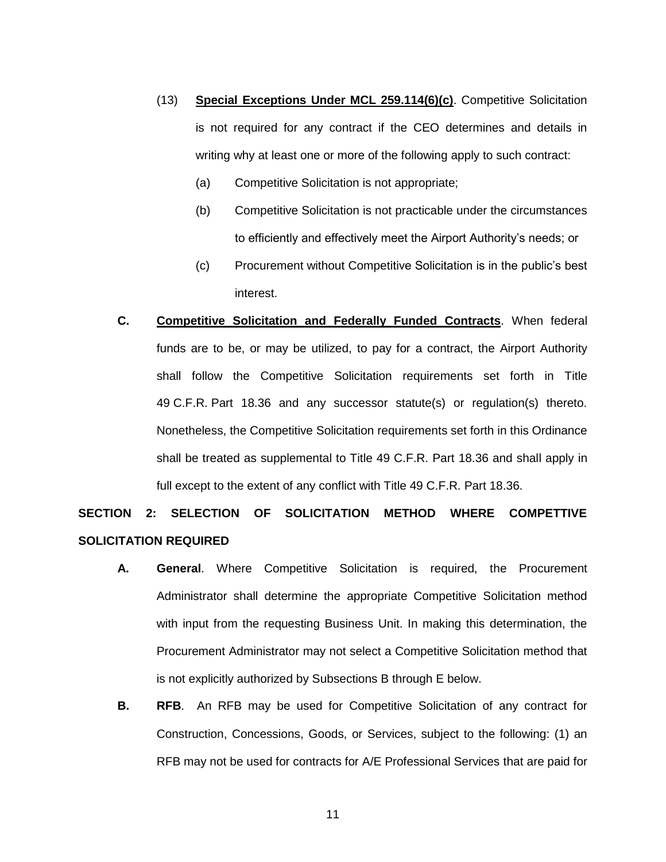- (13) **Special Exceptions Under MCL 259.114(6)(c)**. Competitive Solicitation is not required for any contract if the CEO determines and details in writing why at least one or more of the following apply to such contract:
	- (a) Competitive Solicitation is not appropriate;
	- (b) Competitive Solicitation is not practicable under the circumstances to efficiently and effectively meet the Airport Authority's needs; or
	- (c) Procurement without Competitive Solicitation is in the public's best interest.
- **C. Competitive Solicitation and Federally Funded Contracts**. When federal funds are to be, or may be utilized, to pay for a contract, the Airport Authority shall follow the Competitive Solicitation requirements set forth in Title 49 C.F.R. Part 18.36 and any successor statute(s) or regulation(s) thereto. Nonetheless, the Competitive Solicitation requirements set forth in this Ordinance shall be treated as supplemental to Title 49 C.F.R. Part 18.36 and shall apply in full except to the extent of any conflict with Title 49 C.F.R. Part 18.36.

# **SECTION 2: SELECTION OF SOLICITATION METHOD WHERE COMPETTIVE SOLICITATION REQUIRED**

- **A. General**. Where Competitive Solicitation is required, the Procurement Administrator shall determine the appropriate Competitive Solicitation method with input from the requesting Business Unit. In making this determination, the Procurement Administrator may not select a Competitive Solicitation method that is not explicitly authorized by Subsections B through E below.
- **B. RFB**. An RFB may be used for Competitive Solicitation of any contract for Construction, Concessions, Goods, or Services, subject to the following: (1) an RFB may not be used for contracts for A/E Professional Services that are paid for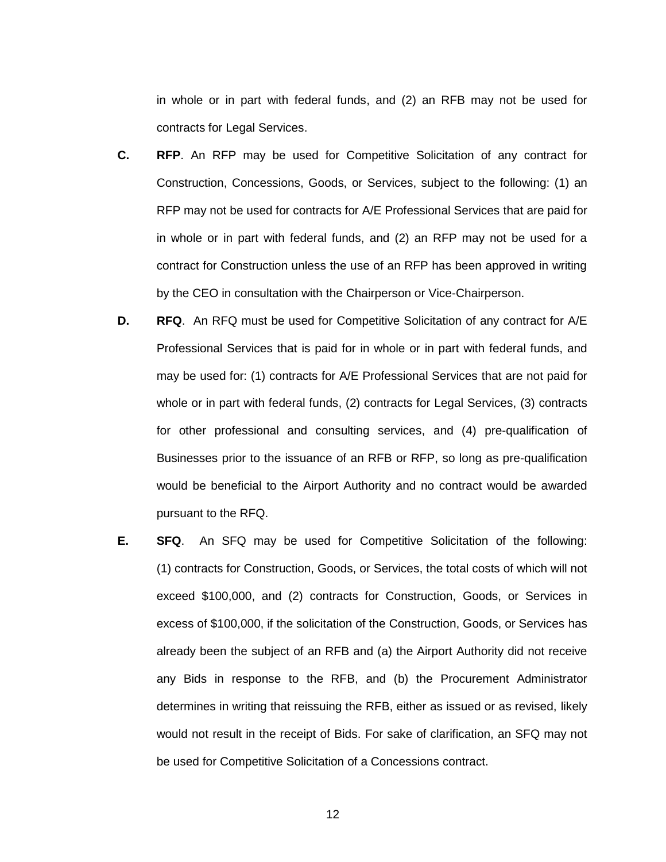in whole or in part with federal funds, and (2) an RFB may not be used for contracts for Legal Services.

- **C. RFP**. An RFP may be used for Competitive Solicitation of any contract for Construction, Concessions, Goods, or Services, subject to the following: (1) an RFP may not be used for contracts for A/E Professional Services that are paid for in whole or in part with federal funds, and (2) an RFP may not be used for a contract for Construction unless the use of an RFP has been approved in writing by the CEO in consultation with the Chairperson or Vice-Chairperson.
- **D. RFQ**. An RFQ must be used for Competitive Solicitation of any contract for A/E Professional Services that is paid for in whole or in part with federal funds, and may be used for: (1) contracts for A/E Professional Services that are not paid for whole or in part with federal funds, (2) contracts for Legal Services, (3) contracts for other professional and consulting services, and (4) pre-qualification of Businesses prior to the issuance of an RFB or RFP, so long as pre-qualification would be beneficial to the Airport Authority and no contract would be awarded pursuant to the RFQ.
- **E. SFQ**. An SFQ may be used for Competitive Solicitation of the following: (1) contracts for Construction, Goods, or Services, the total costs of which will not exceed \$100,000, and (2) contracts for Construction, Goods, or Services in excess of \$100,000, if the solicitation of the Construction, Goods, or Services has already been the subject of an RFB and (a) the Airport Authority did not receive any Bids in response to the RFB, and (b) the Procurement Administrator determines in writing that reissuing the RFB, either as issued or as revised, likely would not result in the receipt of Bids. For sake of clarification, an SFQ may not be used for Competitive Solicitation of a Concessions contract.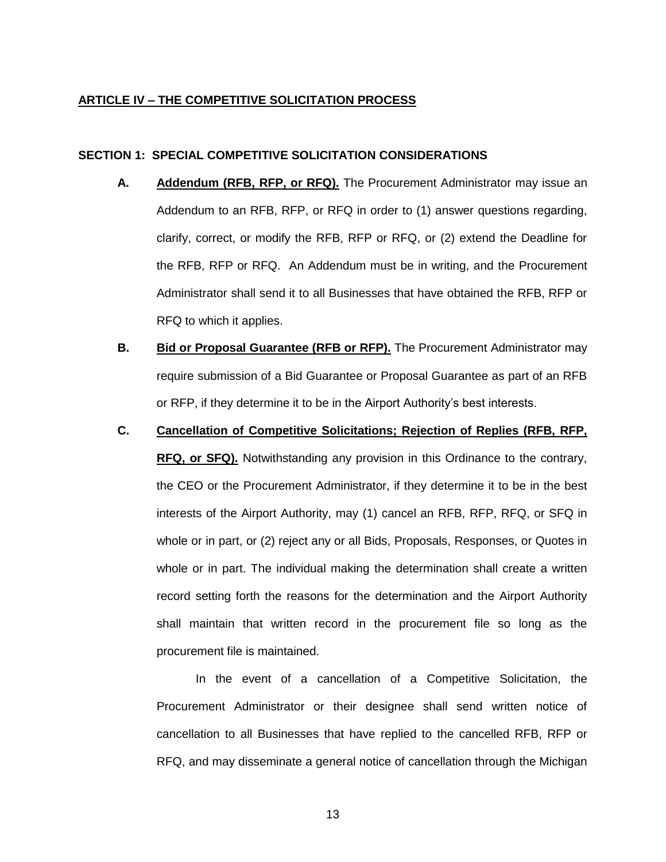### **ARTICLE IV – THE COMPETITIVE SOLICITATION PROCESS**

# **SECTION 1: SPECIAL COMPETITIVE SOLICITATION CONSIDERATIONS**

- **A. Addendum (RFB, RFP, or RFQ).** The Procurement Administrator may issue an Addendum to an RFB, RFP, or RFQ in order to (1) answer questions regarding, clarify, correct, or modify the RFB, RFP or RFQ, or (2) extend the Deadline for the RFB, RFP or RFQ. An Addendum must be in writing, and the Procurement Administrator shall send it to all Businesses that have obtained the RFB, RFP or RFQ to which it applies.
- **B. Bid or Proposal Guarantee (RFB or RFP).** The Procurement Administrator may require submission of a Bid Guarantee or Proposal Guarantee as part of an RFB or RFP, if they determine it to be in the Airport Authority's best interests.
- **C. Cancellation of Competitive Solicitations; Rejection of Replies (RFB, RFP, RFQ, or SFQ).** Notwithstanding any provision in this Ordinance to the contrary, the CEO or the Procurement Administrator, if they determine it to be in the best interests of the Airport Authority, may (1) cancel an RFB, RFP, RFQ, or SFQ in whole or in part, or (2) reject any or all Bids, Proposals, Responses, or Quotes in whole or in part. The individual making the determination shall create a written record setting forth the reasons for the determination and the Airport Authority shall maintain that written record in the procurement file so long as the procurement file is maintained.

In the event of a cancellation of a Competitive Solicitation, the Procurement Administrator or their designee shall send written notice of cancellation to all Businesses that have replied to the cancelled RFB, RFP or RFQ, and may disseminate a general notice of cancellation through the Michigan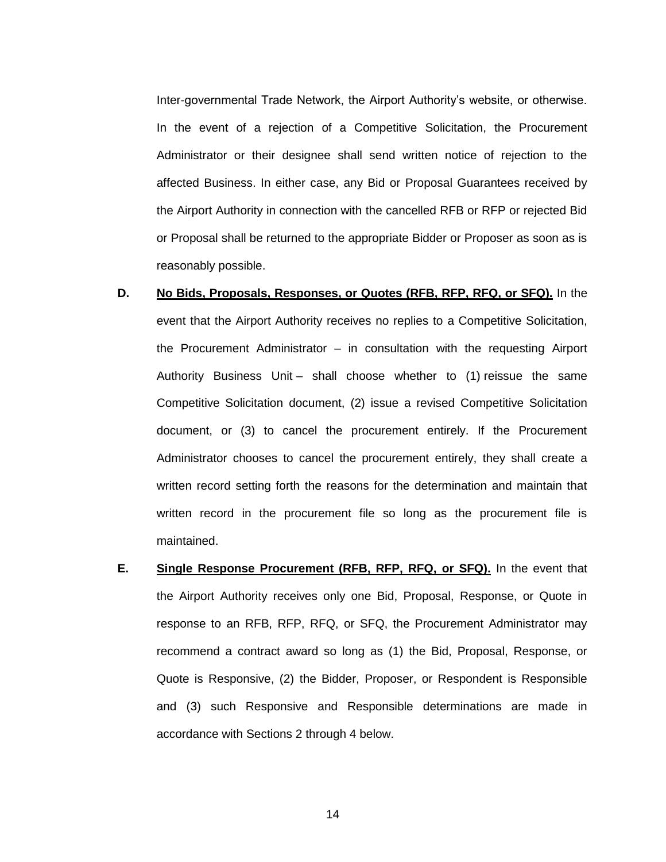Inter-governmental Trade Network, the Airport Authority's website, or otherwise. In the event of a rejection of a Competitive Solicitation, the Procurement Administrator or their designee shall send written notice of rejection to the affected Business. In either case, any Bid or Proposal Guarantees received by the Airport Authority in connection with the cancelled RFB or RFP or rejected Bid or Proposal shall be returned to the appropriate Bidder or Proposer as soon as is reasonably possible.

- **D. No Bids, Proposals, Responses, or Quotes (RFB, RFP, RFQ, or SFQ).** In the event that the Airport Authority receives no replies to a Competitive Solicitation, the Procurement Administrator – in consultation with the requesting Airport Authority Business Unit – shall choose whether to (1) reissue the same Competitive Solicitation document, (2) issue a revised Competitive Solicitation document, or (3) to cancel the procurement entirely. If the Procurement Administrator chooses to cancel the procurement entirely, they shall create a written record setting forth the reasons for the determination and maintain that written record in the procurement file so long as the procurement file is maintained.
- **E. Single Response Procurement (RFB, RFP, RFQ, or SFQ).** In the event that the Airport Authority receives only one Bid, Proposal, Response, or Quote in response to an RFB, RFP, RFQ, or SFQ, the Procurement Administrator may recommend a contract award so long as (1) the Bid, Proposal, Response, or Quote is Responsive, (2) the Bidder, Proposer, or Respondent is Responsible and (3) such Responsive and Responsible determinations are made in accordance with Sections 2 through 4 below.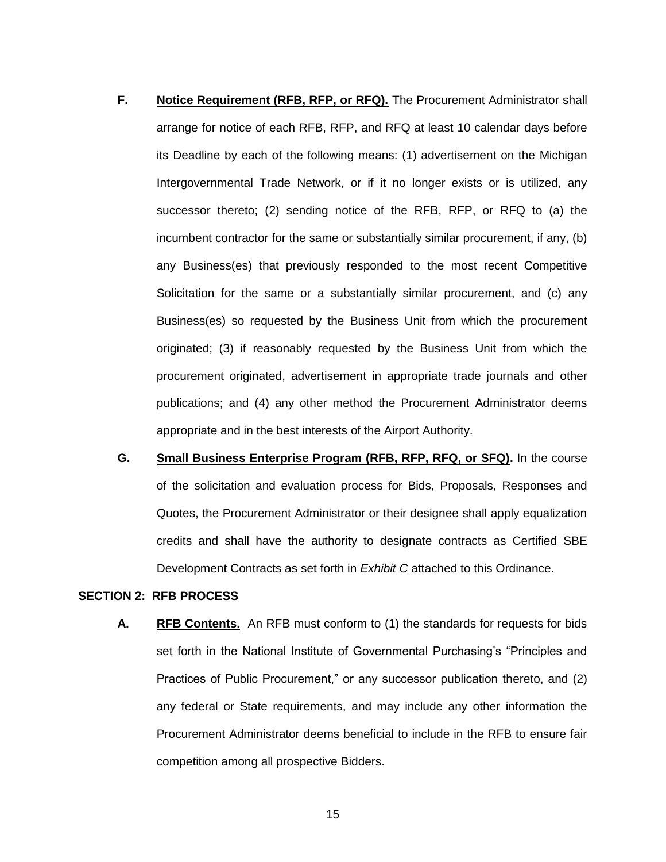- **F. Notice Requirement (RFB, RFP, or RFQ).** The Procurement Administrator shall arrange for notice of each RFB, RFP, and RFQ at least 10 calendar days before its Deadline by each of the following means: (1) advertisement on the Michigan Intergovernmental Trade Network, or if it no longer exists or is utilized, any successor thereto; (2) sending notice of the RFB, RFP, or RFQ to (a) the incumbent contractor for the same or substantially similar procurement, if any, (b) any Business(es) that previously responded to the most recent Competitive Solicitation for the same or a substantially similar procurement, and (c) any Business(es) so requested by the Business Unit from which the procurement originated; (3) if reasonably requested by the Business Unit from which the procurement originated, advertisement in appropriate trade journals and other publications; and (4) any other method the Procurement Administrator deems appropriate and in the best interests of the Airport Authority.
- **G. Small Business Enterprise Program (RFB, RFP, RFQ, or SFQ).** In the course of the solicitation and evaluation process for Bids, Proposals, Responses and Quotes, the Procurement Administrator or their designee shall apply equalization credits and shall have the authority to designate contracts as Certified SBE Development Contracts as set forth in *Exhibit C* attached to this Ordinance.

# **SECTION 2: RFB PROCESS**

**A. RFB Contents.** An RFB must conform to (1) the standards for requests for bids set forth in the National Institute of Governmental Purchasing's "Principles and Practices of Public Procurement," or any successor publication thereto, and (2) any federal or State requirements, and may include any other information the Procurement Administrator deems beneficial to include in the RFB to ensure fair competition among all prospective Bidders.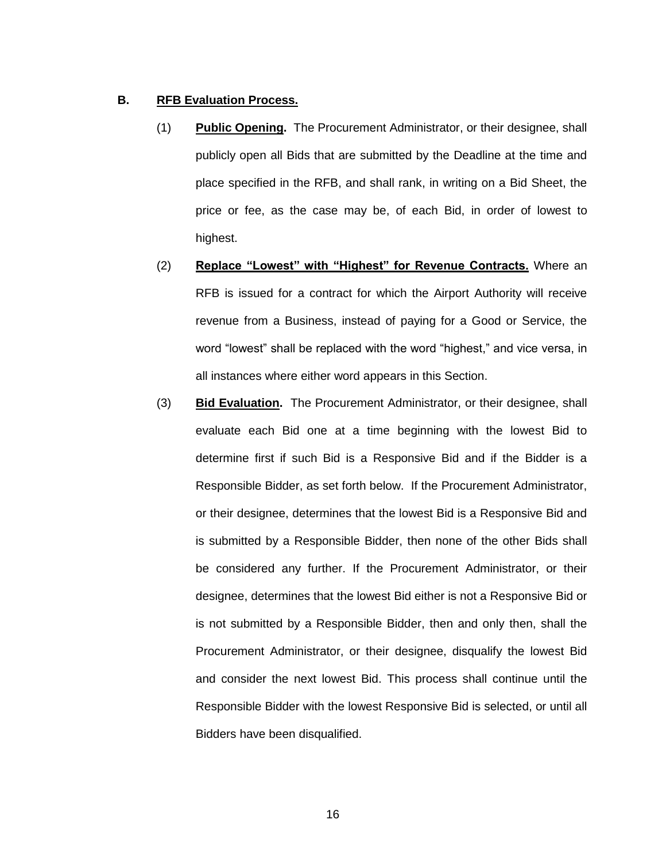# **B. RFB Evaluation Process.**

- (1) **Public Opening.** The Procurement Administrator, or their designee, shall publicly open all Bids that are submitted by the Deadline at the time and place specified in the RFB, and shall rank, in writing on a Bid Sheet, the price or fee, as the case may be, of each Bid, in order of lowest to highest.
- (2) **Replace "Lowest" with "Highest" for Revenue Contracts.** Where an RFB is issued for a contract for which the Airport Authority will receive revenue from a Business, instead of paying for a Good or Service, the word "lowest" shall be replaced with the word "highest," and vice versa, in all instances where either word appears in this Section.
- (3) **Bid Evaluation.** The Procurement Administrator, or their designee, shall evaluate each Bid one at a time beginning with the lowest Bid to determine first if such Bid is a Responsive Bid and if the Bidder is a Responsible Bidder, as set forth below. If the Procurement Administrator, or their designee, determines that the lowest Bid is a Responsive Bid and is submitted by a Responsible Bidder, then none of the other Bids shall be considered any further. If the Procurement Administrator, or their designee, determines that the lowest Bid either is not a Responsive Bid or is not submitted by a Responsible Bidder, then and only then, shall the Procurement Administrator, or their designee, disqualify the lowest Bid and consider the next lowest Bid. This process shall continue until the Responsible Bidder with the lowest Responsive Bid is selected, or until all Bidders have been disqualified.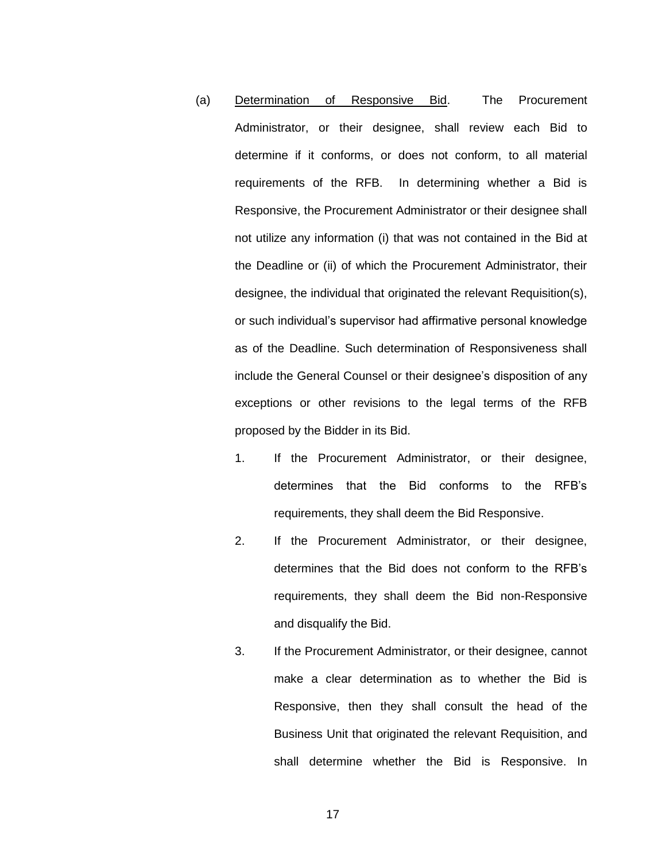- (a) Determination of Responsive Bid. The Procurement Administrator, or their designee, shall review each Bid to determine if it conforms, or does not conform, to all material requirements of the RFB. In determining whether a Bid is Responsive, the Procurement Administrator or their designee shall not utilize any information (i) that was not contained in the Bid at the Deadline or (ii) of which the Procurement Administrator, their designee, the individual that originated the relevant Requisition(s), or such individual's supervisor had affirmative personal knowledge as of the Deadline. Such determination of Responsiveness shall include the General Counsel or their designee's disposition of any exceptions or other revisions to the legal terms of the RFB proposed by the Bidder in its Bid.
	- 1. If the Procurement Administrator, or their designee, determines that the Bid conforms to the RFB's requirements, they shall deem the Bid Responsive.
	- 2. If the Procurement Administrator, or their designee, determines that the Bid does not conform to the RFB's requirements, they shall deem the Bid non-Responsive and disqualify the Bid.
	- 3. If the Procurement Administrator, or their designee, cannot make a clear determination as to whether the Bid is Responsive, then they shall consult the head of the Business Unit that originated the relevant Requisition, and shall determine whether the Bid is Responsive. In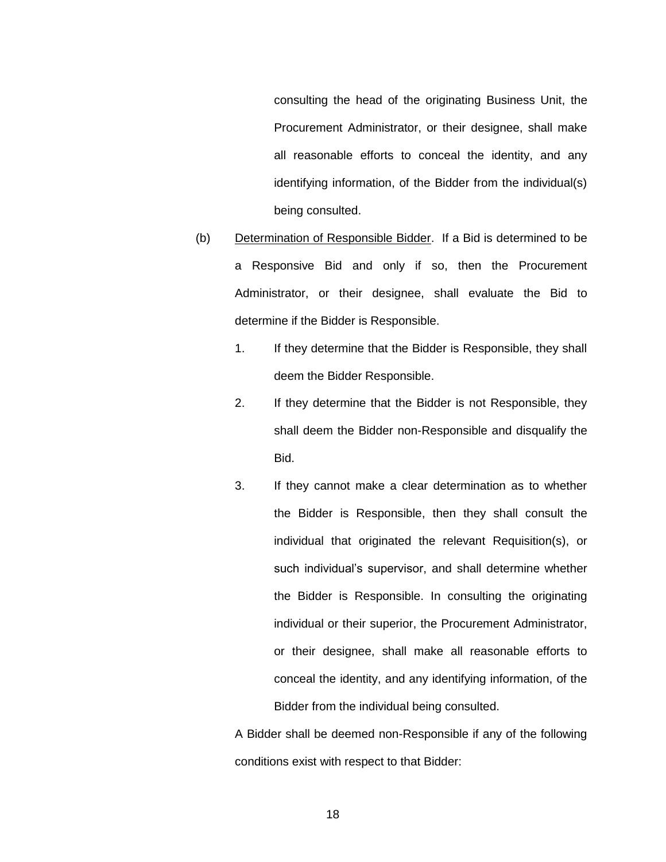consulting the head of the originating Business Unit, the Procurement Administrator, or their designee, shall make all reasonable efforts to conceal the identity, and any identifying information, of the Bidder from the individual(s) being consulted.

- (b) Determination of Responsible Bidder. If a Bid is determined to be a Responsive Bid and only if so, then the Procurement Administrator, or their designee, shall evaluate the Bid to determine if the Bidder is Responsible.
	- 1. If they determine that the Bidder is Responsible, they shall deem the Bidder Responsible.
	- 2. If they determine that the Bidder is not Responsible, they shall deem the Bidder non-Responsible and disqualify the Bid.
	- 3. If they cannot make a clear determination as to whether the Bidder is Responsible, then they shall consult the individual that originated the relevant Requisition(s), or such individual's supervisor, and shall determine whether the Bidder is Responsible. In consulting the originating individual or their superior, the Procurement Administrator, or their designee, shall make all reasonable efforts to conceal the identity, and any identifying information, of the Bidder from the individual being consulted.

A Bidder shall be deemed non-Responsible if any of the following conditions exist with respect to that Bidder: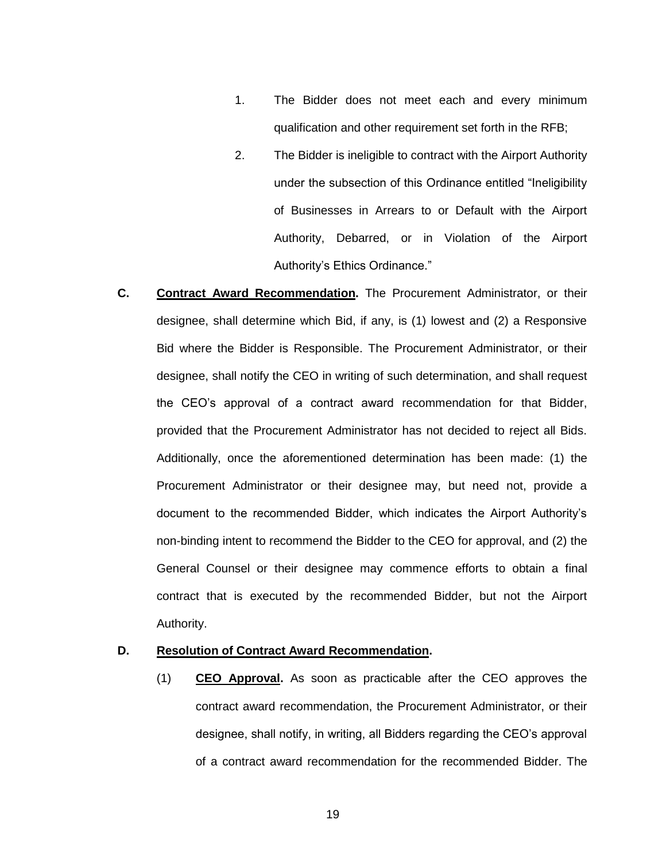- 1. The Bidder does not meet each and every minimum qualification and other requirement set forth in the RFB;
- 2. The Bidder is ineligible to contract with the Airport Authority under the subsection of this Ordinance entitled "Ineligibility of Businesses in Arrears to or Default with the Airport Authority, Debarred, or in Violation of the Airport Authority's Ethics Ordinance."
- **C. Contract Award Recommendation.** The Procurement Administrator, or their designee, shall determine which Bid, if any, is (1) lowest and (2) a Responsive Bid where the Bidder is Responsible. The Procurement Administrator, or their designee, shall notify the CEO in writing of such determination, and shall request the CEO's approval of a contract award recommendation for that Bidder, provided that the Procurement Administrator has not decided to reject all Bids. Additionally, once the aforementioned determination has been made: (1) the Procurement Administrator or their designee may, but need not, provide a document to the recommended Bidder, which indicates the Airport Authority's non-binding intent to recommend the Bidder to the CEO for approval, and (2) the General Counsel or their designee may commence efforts to obtain a final contract that is executed by the recommended Bidder, but not the Airport Authority.

### **D. Resolution of Contract Award Recommendation.**

(1) **CEO Approval.** As soon as practicable after the CEO approves the contract award recommendation, the Procurement Administrator, or their designee, shall notify, in writing, all Bidders regarding the CEO's approval of a contract award recommendation for the recommended Bidder. The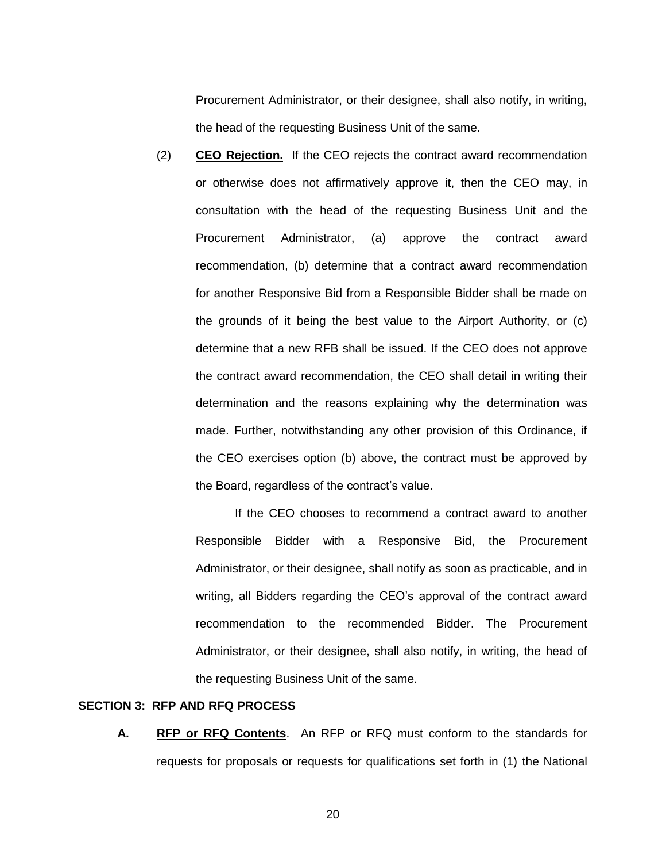Procurement Administrator, or their designee, shall also notify, in writing, the head of the requesting Business Unit of the same.

(2) **CEO Rejection.** If the CEO rejects the contract award recommendation or otherwise does not affirmatively approve it, then the CEO may, in consultation with the head of the requesting Business Unit and the Procurement Administrator, (a) approve the contract award recommendation, (b) determine that a contract award recommendation for another Responsive Bid from a Responsible Bidder shall be made on the grounds of it being the best value to the Airport Authority, or (c) determine that a new RFB shall be issued. If the CEO does not approve the contract award recommendation, the CEO shall detail in writing their determination and the reasons explaining why the determination was made. Further, notwithstanding any other provision of this Ordinance, if the CEO exercises option (b) above, the contract must be approved by the Board, regardless of the contract's value.

If the CEO chooses to recommend a contract award to another Responsible Bidder with a Responsive Bid, the Procurement Administrator, or their designee, shall notify as soon as practicable, and in writing, all Bidders regarding the CEO's approval of the contract award recommendation to the recommended Bidder. The Procurement Administrator, or their designee, shall also notify, in writing, the head of the requesting Business Unit of the same.

## **SECTION 3: RFP AND RFQ PROCESS**

**A. RFP or RFQ Contents**. An RFP or RFQ must conform to the standards for requests for proposals or requests for qualifications set forth in (1) the National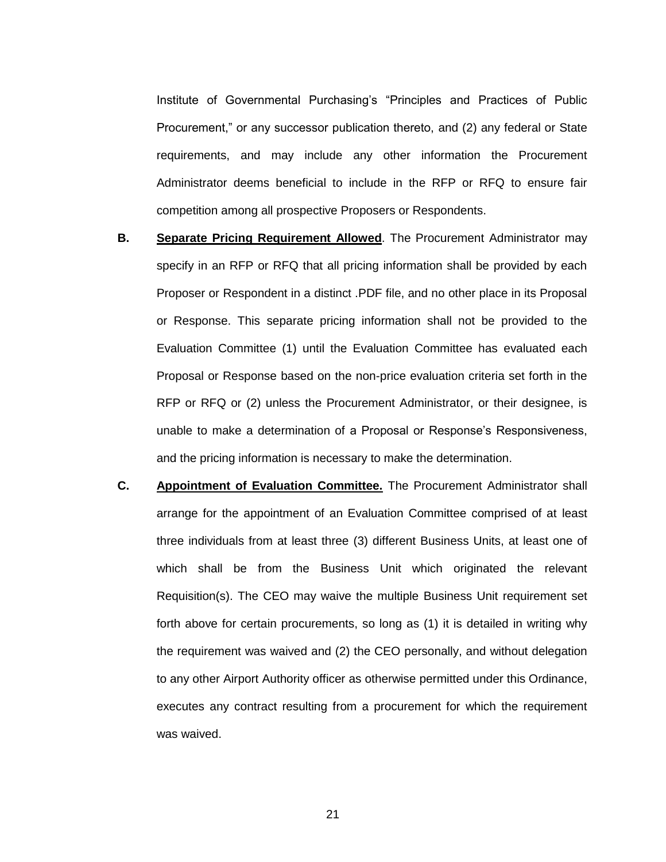Institute of Governmental Purchasing's "Principles and Practices of Public Procurement," or any successor publication thereto, and (2) any federal or State requirements, and may include any other information the Procurement Administrator deems beneficial to include in the RFP or RFQ to ensure fair competition among all prospective Proposers or Respondents.

- **B. Separate Pricing Requirement Allowed**. The Procurement Administrator may specify in an RFP or RFQ that all pricing information shall be provided by each Proposer or Respondent in a distinct .PDF file, and no other place in its Proposal or Response. This separate pricing information shall not be provided to the Evaluation Committee (1) until the Evaluation Committee has evaluated each Proposal or Response based on the non-price evaluation criteria set forth in the RFP or RFQ or (2) unless the Procurement Administrator, or their designee, is unable to make a determination of a Proposal or Response's Responsiveness, and the pricing information is necessary to make the determination.
- **C. Appointment of Evaluation Committee.** The Procurement Administrator shall arrange for the appointment of an Evaluation Committee comprised of at least three individuals from at least three (3) different Business Units, at least one of which shall be from the Business Unit which originated the relevant Requisition(s). The CEO may waive the multiple Business Unit requirement set forth above for certain procurements, so long as (1) it is detailed in writing why the requirement was waived and (2) the CEO personally, and without delegation to any other Airport Authority officer as otherwise permitted under this Ordinance, executes any contract resulting from a procurement for which the requirement was waived.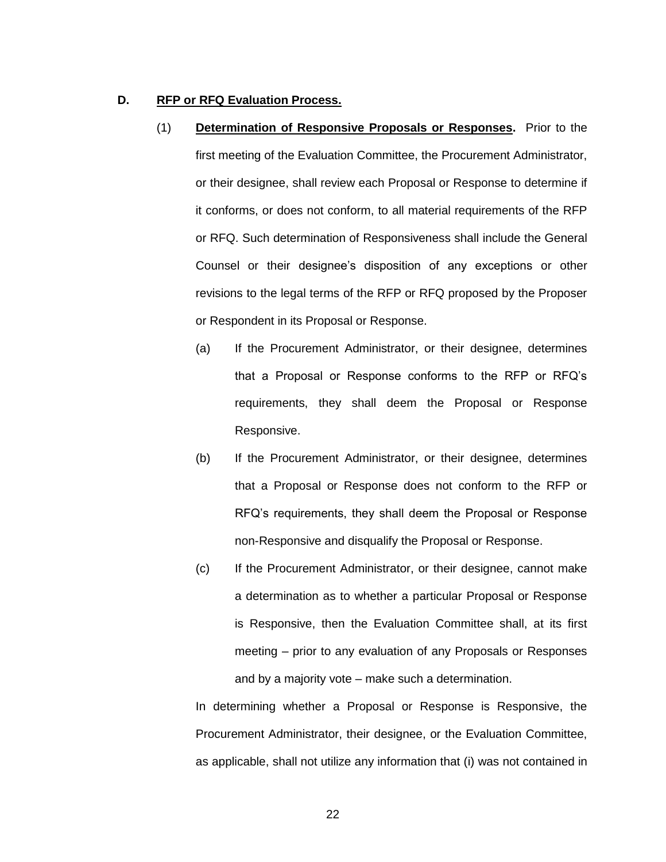#### **D. RFP or RFQ Evaluation Process.**

- (1) **Determination of Responsive Proposals or Responses.** Prior to the first meeting of the Evaluation Committee, the Procurement Administrator, or their designee, shall review each Proposal or Response to determine if it conforms, or does not conform, to all material requirements of the RFP or RFQ. Such determination of Responsiveness shall include the General Counsel or their designee's disposition of any exceptions or other revisions to the legal terms of the RFP or RFQ proposed by the Proposer or Respondent in its Proposal or Response.
	- (a) If the Procurement Administrator, or their designee, determines that a Proposal or Response conforms to the RFP or RFQ's requirements, they shall deem the Proposal or Response Responsive.
	- (b) If the Procurement Administrator, or their designee, determines that a Proposal or Response does not conform to the RFP or RFQ's requirements, they shall deem the Proposal or Response non-Responsive and disqualify the Proposal or Response.
	- (c) If the Procurement Administrator, or their designee, cannot make a determination as to whether a particular Proposal or Response is Responsive, then the Evaluation Committee shall, at its first meeting – prior to any evaluation of any Proposals or Responses and by a majority vote – make such a determination.

In determining whether a Proposal or Response is Responsive, the Procurement Administrator, their designee, or the Evaluation Committee, as applicable, shall not utilize any information that (i) was not contained in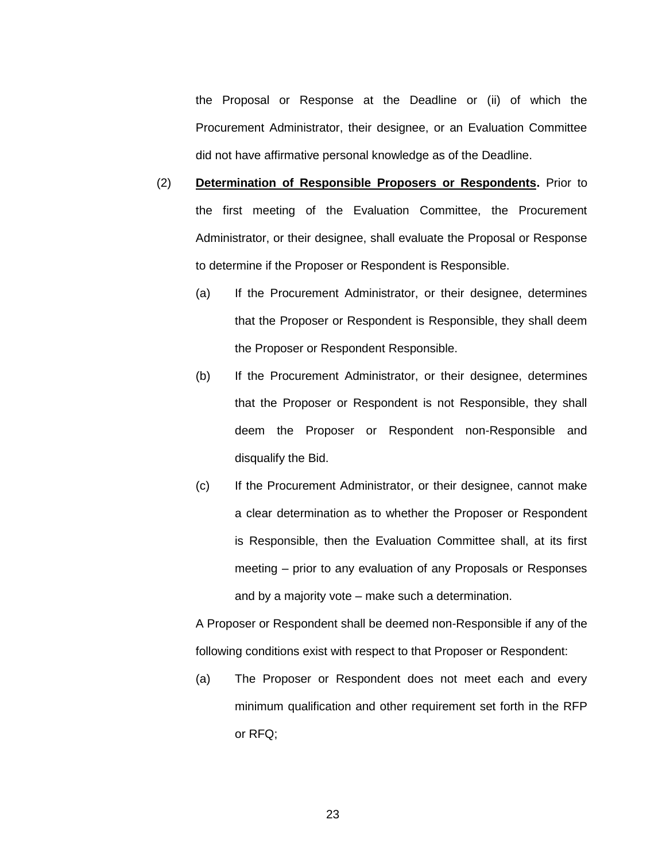the Proposal or Response at the Deadline or (ii) of which the Procurement Administrator, their designee, or an Evaluation Committee did not have affirmative personal knowledge as of the Deadline.

- (2) **Determination of Responsible Proposers or Respondents.** Prior to the first meeting of the Evaluation Committee, the Procurement Administrator, or their designee, shall evaluate the Proposal or Response to determine if the Proposer or Respondent is Responsible.
	- (a) If the Procurement Administrator, or their designee, determines that the Proposer or Respondent is Responsible, they shall deem the Proposer or Respondent Responsible.
	- (b) If the Procurement Administrator, or their designee, determines that the Proposer or Respondent is not Responsible, they shall deem the Proposer or Respondent non-Responsible and disqualify the Bid.
	- (c) If the Procurement Administrator, or their designee, cannot make a clear determination as to whether the Proposer or Respondent is Responsible, then the Evaluation Committee shall, at its first meeting – prior to any evaluation of any Proposals or Responses and by a majority vote – make such a determination.

A Proposer or Respondent shall be deemed non-Responsible if any of the following conditions exist with respect to that Proposer or Respondent:

(a) The Proposer or Respondent does not meet each and every minimum qualification and other requirement set forth in the RFP or RFQ;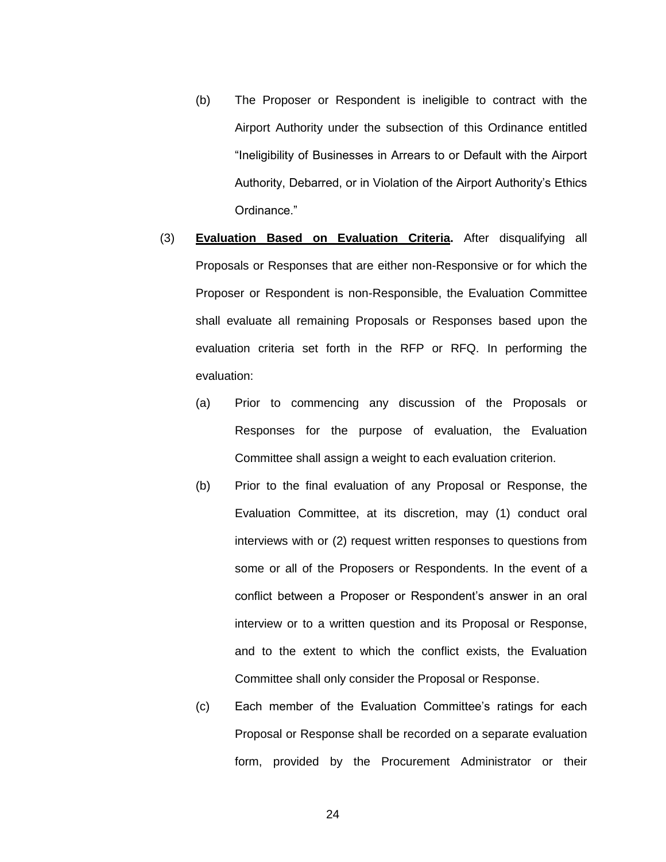- (b) The Proposer or Respondent is ineligible to contract with the Airport Authority under the subsection of this Ordinance entitled "Ineligibility of Businesses in Arrears to or Default with the Airport Authority, Debarred, or in Violation of the Airport Authority's Ethics Ordinance."
- (3) **Evaluation Based on Evaluation Criteria.** After disqualifying all Proposals or Responses that are either non-Responsive or for which the Proposer or Respondent is non-Responsible, the Evaluation Committee shall evaluate all remaining Proposals or Responses based upon the evaluation criteria set forth in the RFP or RFQ. In performing the evaluation:
	- (a) Prior to commencing any discussion of the Proposals or Responses for the purpose of evaluation, the Evaluation Committee shall assign a weight to each evaluation criterion.
	- (b) Prior to the final evaluation of any Proposal or Response, the Evaluation Committee, at its discretion, may (1) conduct oral interviews with or (2) request written responses to questions from some or all of the Proposers or Respondents. In the event of a conflict between a Proposer or Respondent's answer in an oral interview or to a written question and its Proposal or Response, and to the extent to which the conflict exists, the Evaluation Committee shall only consider the Proposal or Response.
	- (c) Each member of the Evaluation Committee's ratings for each Proposal or Response shall be recorded on a separate evaluation form, provided by the Procurement Administrator or their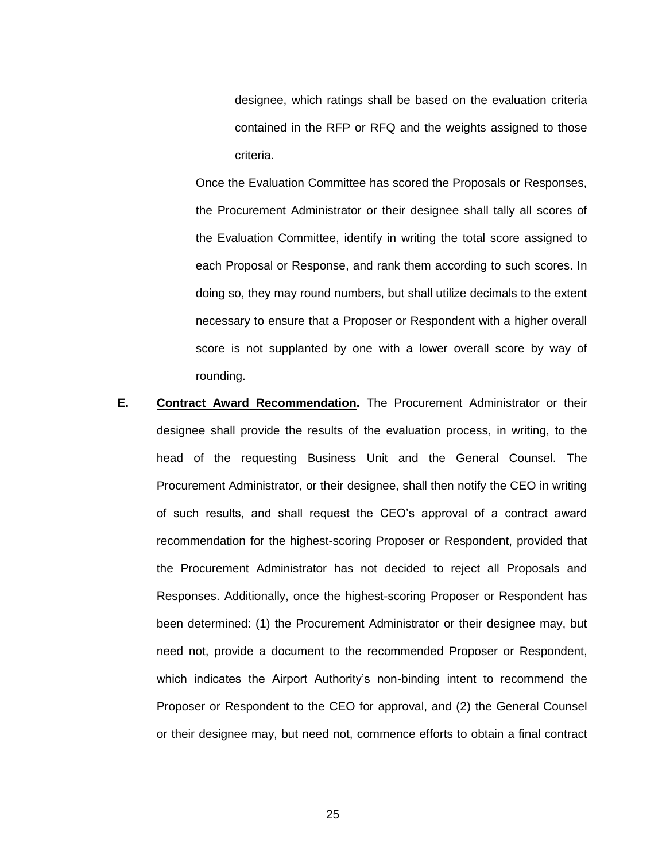designee, which ratings shall be based on the evaluation criteria contained in the RFP or RFQ and the weights assigned to those criteria.

Once the Evaluation Committee has scored the Proposals or Responses, the Procurement Administrator or their designee shall tally all scores of the Evaluation Committee, identify in writing the total score assigned to each Proposal or Response, and rank them according to such scores. In doing so, they may round numbers, but shall utilize decimals to the extent necessary to ensure that a Proposer or Respondent with a higher overall score is not supplanted by one with a lower overall score by way of rounding.

**E. Contract Award Recommendation.** The Procurement Administrator or their designee shall provide the results of the evaluation process, in writing, to the head of the requesting Business Unit and the General Counsel. The Procurement Administrator, or their designee, shall then notify the CEO in writing of such results, and shall request the CEO's approval of a contract award recommendation for the highest-scoring Proposer or Respondent, provided that the Procurement Administrator has not decided to reject all Proposals and Responses. Additionally, once the highest-scoring Proposer or Respondent has been determined: (1) the Procurement Administrator or their designee may, but need not, provide a document to the recommended Proposer or Respondent, which indicates the Airport Authority's non-binding intent to recommend the Proposer or Respondent to the CEO for approval, and (2) the General Counsel or their designee may, but need not, commence efforts to obtain a final contract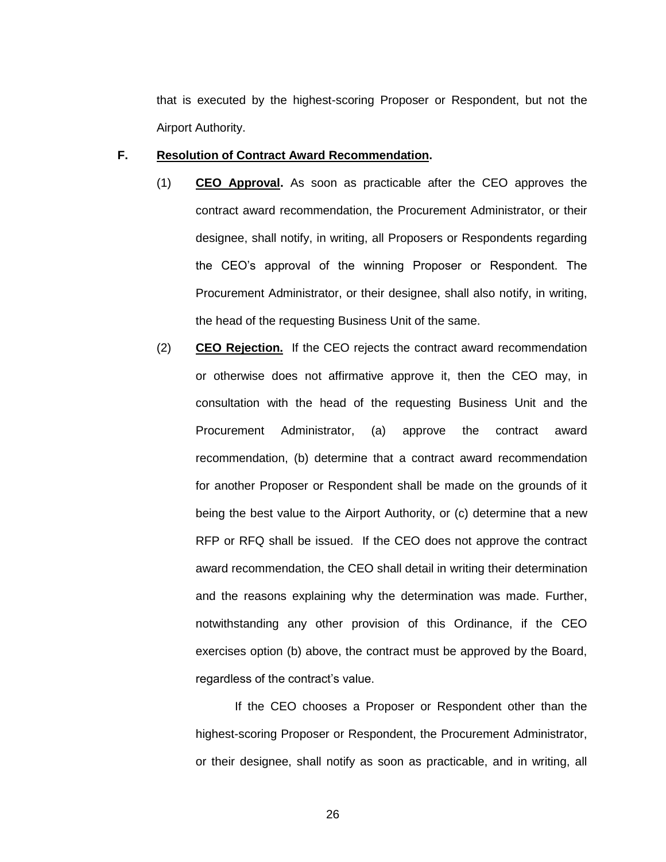that is executed by the highest-scoring Proposer or Respondent, but not the Airport Authority.

## **F. Resolution of Contract Award Recommendation.**

- (1) **CEO Approval.** As soon as practicable after the CEO approves the contract award recommendation, the Procurement Administrator, or their designee, shall notify, in writing, all Proposers or Respondents regarding the CEO's approval of the winning Proposer or Respondent. The Procurement Administrator, or their designee, shall also notify, in writing, the head of the requesting Business Unit of the same.
- (2) **CEO Rejection.** If the CEO rejects the contract award recommendation or otherwise does not affirmative approve it, then the CEO may, in consultation with the head of the requesting Business Unit and the Procurement Administrator, (a) approve the contract award recommendation, (b) determine that a contract award recommendation for another Proposer or Respondent shall be made on the grounds of it being the best value to the Airport Authority, or (c) determine that a new RFP or RFQ shall be issued. If the CEO does not approve the contract award recommendation, the CEO shall detail in writing their determination and the reasons explaining why the determination was made. Further, notwithstanding any other provision of this Ordinance, if the CEO exercises option (b) above, the contract must be approved by the Board, regardless of the contract's value.

If the CEO chooses a Proposer or Respondent other than the highest-scoring Proposer or Respondent, the Procurement Administrator, or their designee, shall notify as soon as practicable, and in writing, all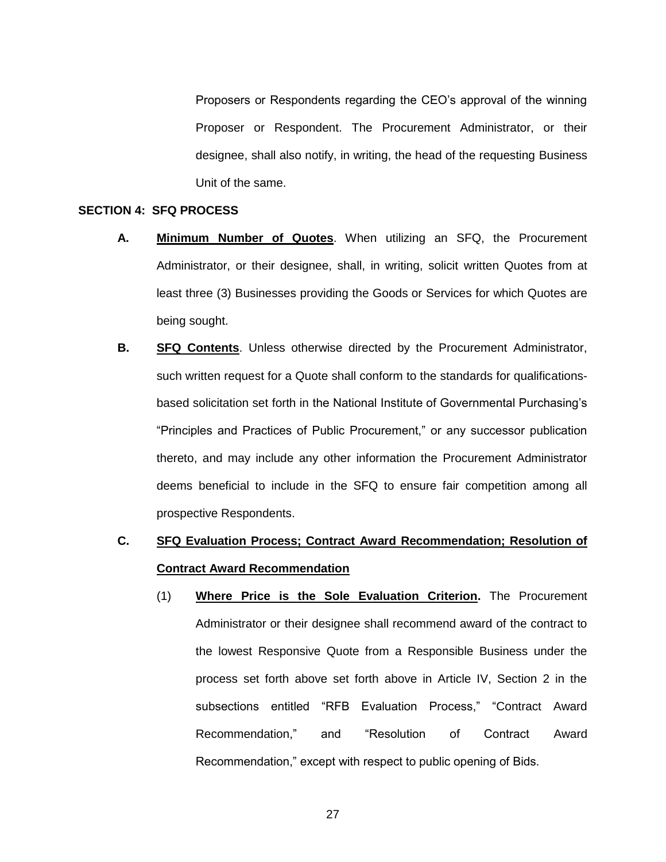Proposers or Respondents regarding the CEO's approval of the winning Proposer or Respondent. The Procurement Administrator, or their designee, shall also notify, in writing, the head of the requesting Business Unit of the same.

#### **SECTION 4: SFQ PROCESS**

- **A. Minimum Number of Quotes**. When utilizing an SFQ, the Procurement Administrator, or their designee, shall, in writing, solicit written Quotes from at least three (3) Businesses providing the Goods or Services for which Quotes are being sought.
- **B. SFQ Contents**. Unless otherwise directed by the Procurement Administrator, such written request for a Quote shall conform to the standards for qualificationsbased solicitation set forth in the National Institute of Governmental Purchasing's "Principles and Practices of Public Procurement," or any successor publication thereto, and may include any other information the Procurement Administrator deems beneficial to include in the SFQ to ensure fair competition among all prospective Respondents.

# **C. SFQ Evaluation Process; Contract Award Recommendation; Resolution of Contract Award Recommendation**

(1) **Where Price is the Sole Evaluation Criterion.** The Procurement Administrator or their designee shall recommend award of the contract to the lowest Responsive Quote from a Responsible Business under the process set forth above set forth above in Article IV, Section 2 in the subsections entitled "RFB Evaluation Process," "Contract Award Recommendation," and "Resolution of Contract Award Recommendation," except with respect to public opening of Bids.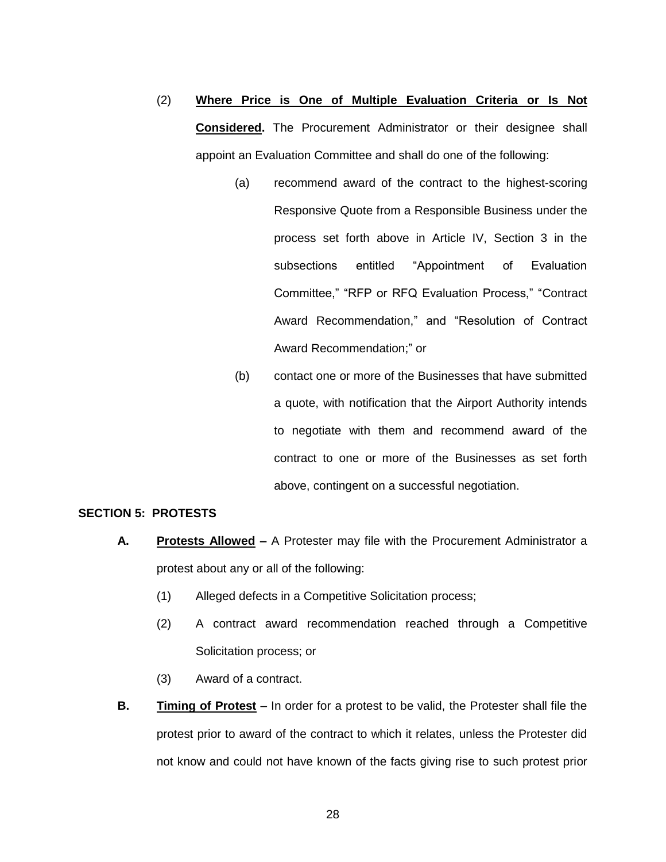- (2) **Where Price is One of Multiple Evaluation Criteria or Is Not Considered.** The Procurement Administrator or their designee shall appoint an Evaluation Committee and shall do one of the following:
	- (a) recommend award of the contract to the highest-scoring Responsive Quote from a Responsible Business under the process set forth above in Article IV, Section 3 in the subsections entitled "Appointment of Evaluation Committee," "RFP or RFQ Evaluation Process," "Contract Award Recommendation," and "Resolution of Contract Award Recommendation;" or
	- (b) contact one or more of the Businesses that have submitted a quote, with notification that the Airport Authority intends to negotiate with them and recommend award of the contract to one or more of the Businesses as set forth above, contingent on a successful negotiation.

# **SECTION 5: PROTESTS**

- **A. Protests Allowed –** A Protester may file with the Procurement Administrator a protest about any or all of the following:
	- (1) Alleged defects in a Competitive Solicitation process;
	- (2) A contract award recommendation reached through a Competitive Solicitation process; or
	- (3) Award of a contract.
- **B. Timing of Protest** In order for a protest to be valid, the Protester shall file the protest prior to award of the contract to which it relates, unless the Protester did not know and could not have known of the facts giving rise to such protest prior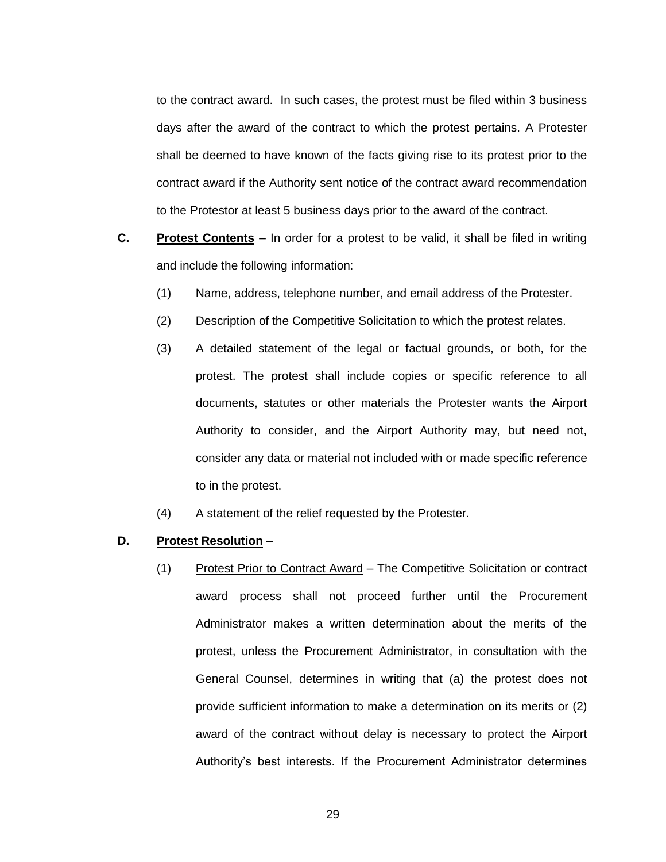to the contract award. In such cases, the protest must be filed within 3 business days after the award of the contract to which the protest pertains. A Protester shall be deemed to have known of the facts giving rise to its protest prior to the contract award if the Authority sent notice of the contract award recommendation to the Protestor at least 5 business days prior to the award of the contract.

- **C. Protest Contents** In order for a protest to be valid, it shall be filed in writing and include the following information:
	- (1) Name, address, telephone number, and email address of the Protester.
	- (2) Description of the Competitive Solicitation to which the protest relates.
	- (3) A detailed statement of the legal or factual grounds, or both, for the protest. The protest shall include copies or specific reference to all documents, statutes or other materials the Protester wants the Airport Authority to consider, and the Airport Authority may, but need not, consider any data or material not included with or made specific reference to in the protest.
	- (4) A statement of the relief requested by the Protester.

#### **D. Protest Resolution** –

(1) Protest Prior to Contract Award - The Competitive Solicitation or contract award process shall not proceed further until the Procurement Administrator makes a written determination about the merits of the protest, unless the Procurement Administrator, in consultation with the General Counsel, determines in writing that (a) the protest does not provide sufficient information to make a determination on its merits or (2) award of the contract without delay is necessary to protect the Airport Authority's best interests. If the Procurement Administrator determines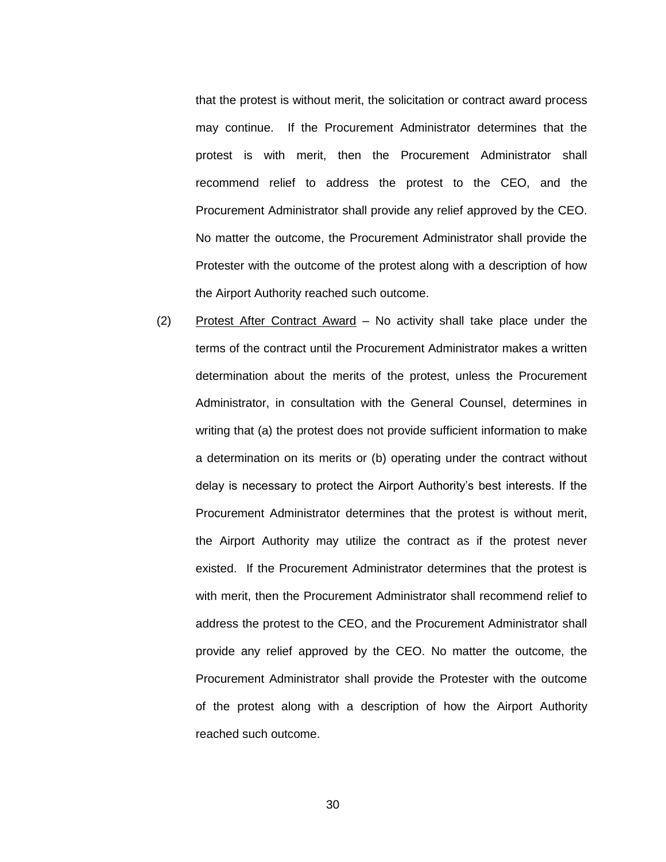that the protest is without merit, the solicitation or contract award process may continue. If the Procurement Administrator determines that the protest is with merit, then the Procurement Administrator shall recommend relief to address the protest to the CEO, and the Procurement Administrator shall provide any relief approved by the CEO. No matter the outcome, the Procurement Administrator shall provide the Protester with the outcome of the protest along with a description of how the Airport Authority reached such outcome.

(2) Protest After Contract Award – No activity shall take place under the terms of the contract until the Procurement Administrator makes a written determination about the merits of the protest, unless the Procurement Administrator, in consultation with the General Counsel, determines in writing that (a) the protest does not provide sufficient information to make a determination on its merits or (b) operating under the contract without delay is necessary to protect the Airport Authority's best interests. If the Procurement Administrator determines that the protest is without merit, the Airport Authority may utilize the contract as if the protest never existed. If the Procurement Administrator determines that the protest is with merit, then the Procurement Administrator shall recommend relief to address the protest to the CEO, and the Procurement Administrator shall provide any relief approved by the CEO. No matter the outcome, the Procurement Administrator shall provide the Protester with the outcome of the protest along with a description of how the Airport Authority reached such outcome.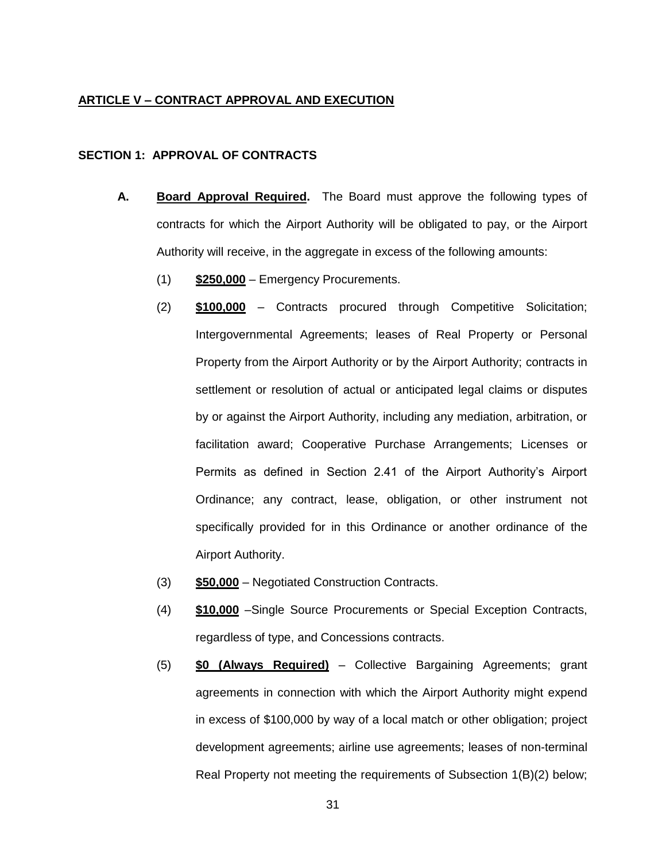## **ARTICLE V – CONTRACT APPROVAL AND EXECUTION**

# **SECTION 1: APPROVAL OF CONTRACTS**

- **A. Board Approval Required.** The Board must approve the following types of contracts for which the Airport Authority will be obligated to pay, or the Airport Authority will receive, in the aggregate in excess of the following amounts:
	- (1) **\$250,000** Emergency Procurements.
	- (2) **\$100,000** Contracts procured through Competitive Solicitation; Intergovernmental Agreements; leases of Real Property or Personal Property from the Airport Authority or by the Airport Authority; contracts in settlement or resolution of actual or anticipated legal claims or disputes by or against the Airport Authority, including any mediation, arbitration, or facilitation award; Cooperative Purchase Arrangements; Licenses or Permits as defined in Section 2.41 of the Airport Authority's Airport Ordinance; any contract, lease, obligation, or other instrument not specifically provided for in this Ordinance or another ordinance of the Airport Authority.
	- (3) **\$50,000** Negotiated Construction Contracts.
	- (4) **\$10,000** –Single Source Procurements or Special Exception Contracts, regardless of type, and Concessions contracts.
	- (5) **\$0 (Always Required)** Collective Bargaining Agreements; grant agreements in connection with which the Airport Authority might expend in excess of \$100,000 by way of a local match or other obligation; project development agreements; airline use agreements; leases of non-terminal Real Property not meeting the requirements of Subsection 1(B)(2) below;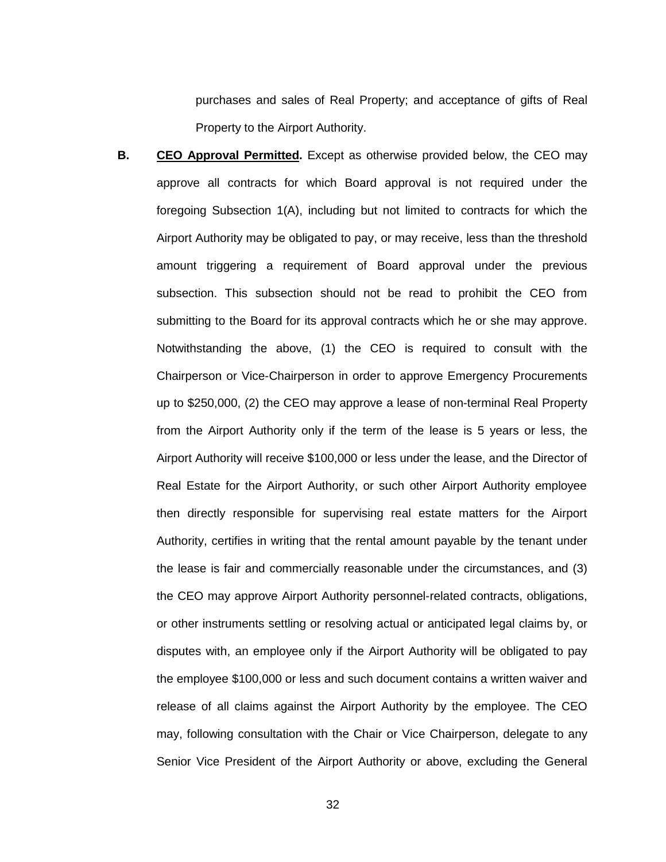purchases and sales of Real Property; and acceptance of gifts of Real Property to the Airport Authority.

**B. CEO Approval Permitted.** Except as otherwise provided below, the CEO may approve all contracts for which Board approval is not required under the foregoing Subsection 1(A), including but not limited to contracts for which the Airport Authority may be obligated to pay, or may receive, less than the threshold amount triggering a requirement of Board approval under the previous subsection. This subsection should not be read to prohibit the CEO from submitting to the Board for its approval contracts which he or she may approve. Notwithstanding the above, (1) the CEO is required to consult with the Chairperson or Vice-Chairperson in order to approve Emergency Procurements up to \$250,000, (2) the CEO may approve a lease of non-terminal Real Property from the Airport Authority only if the term of the lease is 5 years or less, the Airport Authority will receive \$100,000 or less under the lease, and the Director of Real Estate for the Airport Authority, or such other Airport Authority employee then directly responsible for supervising real estate matters for the Airport Authority, certifies in writing that the rental amount payable by the tenant under the lease is fair and commercially reasonable under the circumstances, and (3) the CEO may approve Airport Authority personnel-related contracts, obligations, or other instruments settling or resolving actual or anticipated legal claims by, or disputes with, an employee only if the Airport Authority will be obligated to pay the employee \$100,000 or less and such document contains a written waiver and release of all claims against the Airport Authority by the employee. The CEO may, following consultation with the Chair or Vice Chairperson, delegate to any Senior Vice President of the Airport Authority or above, excluding the General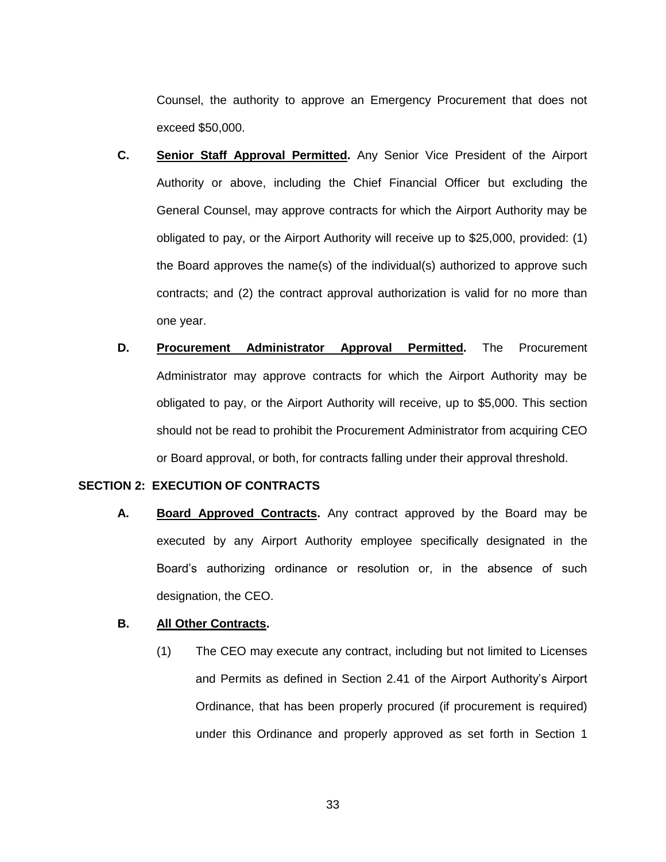Counsel, the authority to approve an Emergency Procurement that does not exceed \$50,000.

- **C. Senior Staff Approval Permitted.** Any Senior Vice President of the Airport Authority or above, including the Chief Financial Officer but excluding the General Counsel, may approve contracts for which the Airport Authority may be obligated to pay, or the Airport Authority will receive up to \$25,000, provided: (1) the Board approves the name(s) of the individual(s) authorized to approve such contracts; and (2) the contract approval authorization is valid for no more than one year.
- **D. Procurement Administrator Approval Permitted.** The Procurement Administrator may approve contracts for which the Airport Authority may be obligated to pay, or the Airport Authority will receive, up to \$5,000. This section should not be read to prohibit the Procurement Administrator from acquiring CEO or Board approval, or both, for contracts falling under their approval threshold.

# **SECTION 2: EXECUTION OF CONTRACTS**

**A. Board Approved Contracts.** Any contract approved by the Board may be executed by any Airport Authority employee specifically designated in the Board's authorizing ordinance or resolution or, in the absence of such designation, the CEO.

# **B. All Other Contracts.**

(1) The CEO may execute any contract, including but not limited to Licenses and Permits as defined in Section 2.41 of the Airport Authority's Airport Ordinance, that has been properly procured (if procurement is required) under this Ordinance and properly approved as set forth in Section 1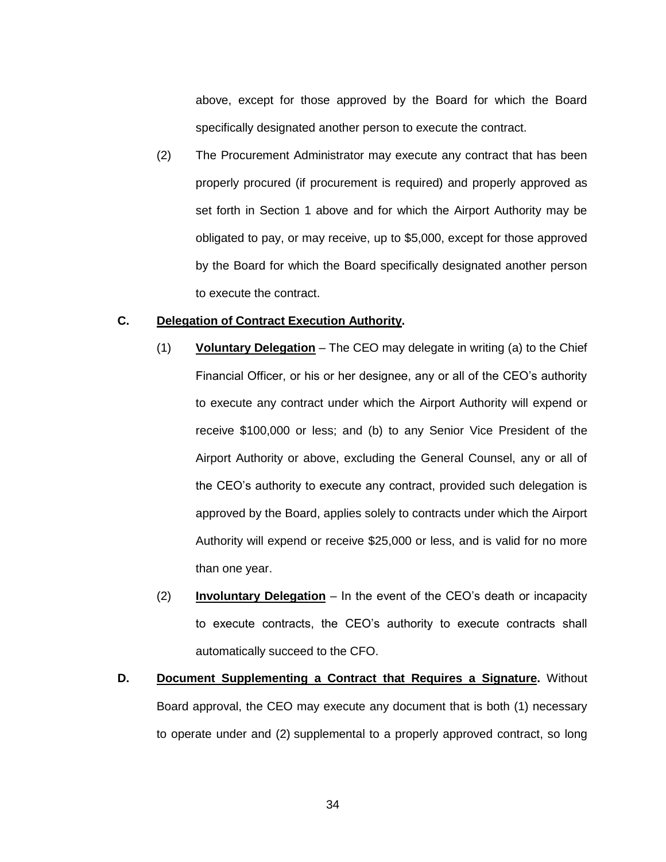above, except for those approved by the Board for which the Board specifically designated another person to execute the contract.

(2) The Procurement Administrator may execute any contract that has been properly procured (if procurement is required) and properly approved as set forth in Section 1 above and for which the Airport Authority may be obligated to pay, or may receive, up to \$5,000, except for those approved by the Board for which the Board specifically designated another person to execute the contract.

# **C. Delegation of Contract Execution Authority.**

- (1) **Voluntary Delegation** The CEO may delegate in writing (a) to the Chief Financial Officer, or his or her designee, any or all of the CEO's authority to execute any contract under which the Airport Authority will expend or receive \$100,000 or less; and (b) to any Senior Vice President of the Airport Authority or above, excluding the General Counsel, any or all of the CEO's authority to execute any contract, provided such delegation is approved by the Board, applies solely to contracts under which the Airport Authority will expend or receive \$25,000 or less, and is valid for no more than one year.
- (2) **Involuntary Delegation** In the event of the CEO's death or incapacity to execute contracts, the CEO's authority to execute contracts shall automatically succeed to the CFO.
- **D. Document Supplementing a Contract that Requires a Signature.** Without Board approval, the CEO may execute any document that is both (1) necessary to operate under and (2) supplemental to a properly approved contract, so long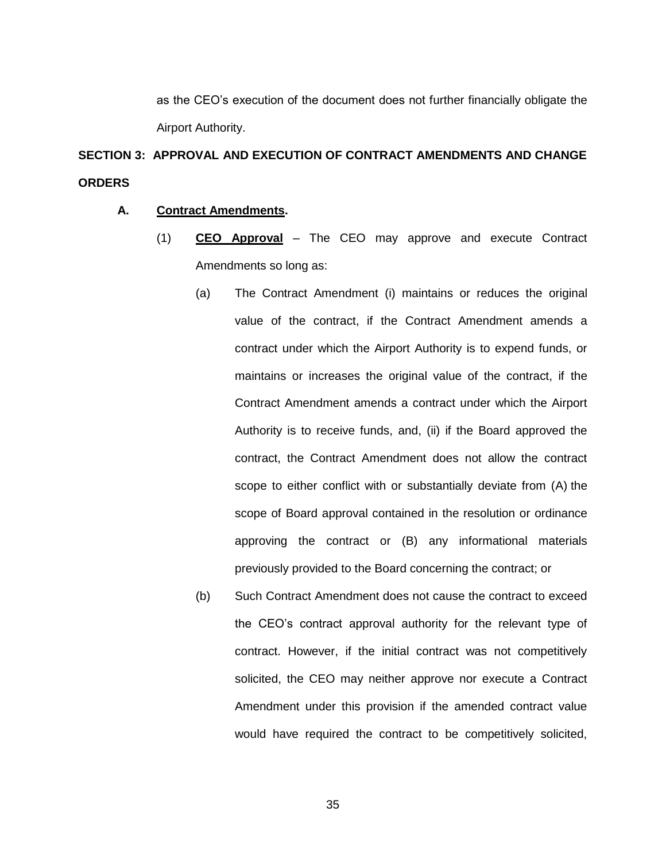as the CEO's execution of the document does not further financially obligate the Airport Authority.

# **SECTION 3: APPROVAL AND EXECUTION OF CONTRACT AMENDMENTS AND CHANGE ORDERS**

# **A. Contract Amendments.**

- (1) **CEO Approval** The CEO may approve and execute Contract Amendments so long as:
	- (a) The Contract Amendment (i) maintains or reduces the original value of the contract, if the Contract Amendment amends a contract under which the Airport Authority is to expend funds, or maintains or increases the original value of the contract, if the Contract Amendment amends a contract under which the Airport Authority is to receive funds, and, (ii) if the Board approved the contract, the Contract Amendment does not allow the contract scope to either conflict with or substantially deviate from (A) the scope of Board approval contained in the resolution or ordinance approving the contract or (B) any informational materials previously provided to the Board concerning the contract; or
	- (b) Such Contract Amendment does not cause the contract to exceed the CEO's contract approval authority for the relevant type of contract. However, if the initial contract was not competitively solicited, the CEO may neither approve nor execute a Contract Amendment under this provision if the amended contract value would have required the contract to be competitively solicited,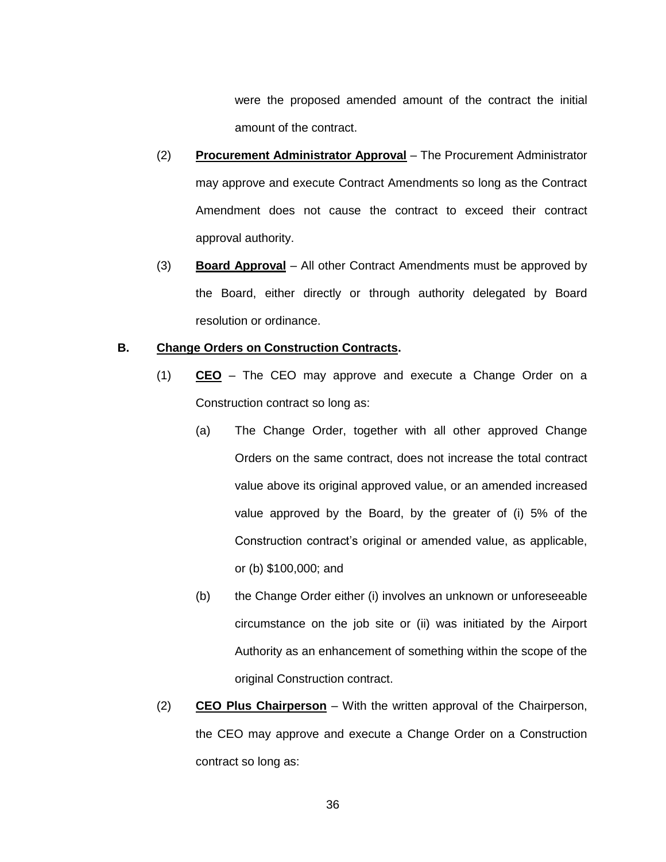were the proposed amended amount of the contract the initial amount of the contract.

- (2) **Procurement Administrator Approval** The Procurement Administrator may approve and execute Contract Amendments so long as the Contract Amendment does not cause the contract to exceed their contract approval authority.
- (3) **Board Approval** All other Contract Amendments must be approved by the Board, either directly or through authority delegated by Board resolution or ordinance.

# **B. Change Orders on Construction Contracts.**

- (1) **CEO** The CEO may approve and execute a Change Order on a Construction contract so long as:
	- (a) The Change Order, together with all other approved Change Orders on the same contract, does not increase the total contract value above its original approved value, or an amended increased value approved by the Board, by the greater of (i) 5% of the Construction contract's original or amended value, as applicable, or (b) \$100,000; and
	- (b) the Change Order either (i) involves an unknown or unforeseeable circumstance on the job site or (ii) was initiated by the Airport Authority as an enhancement of something within the scope of the original Construction contract.
- (2) **CEO Plus Chairperson** With the written approval of the Chairperson, the CEO may approve and execute a Change Order on a Construction contract so long as: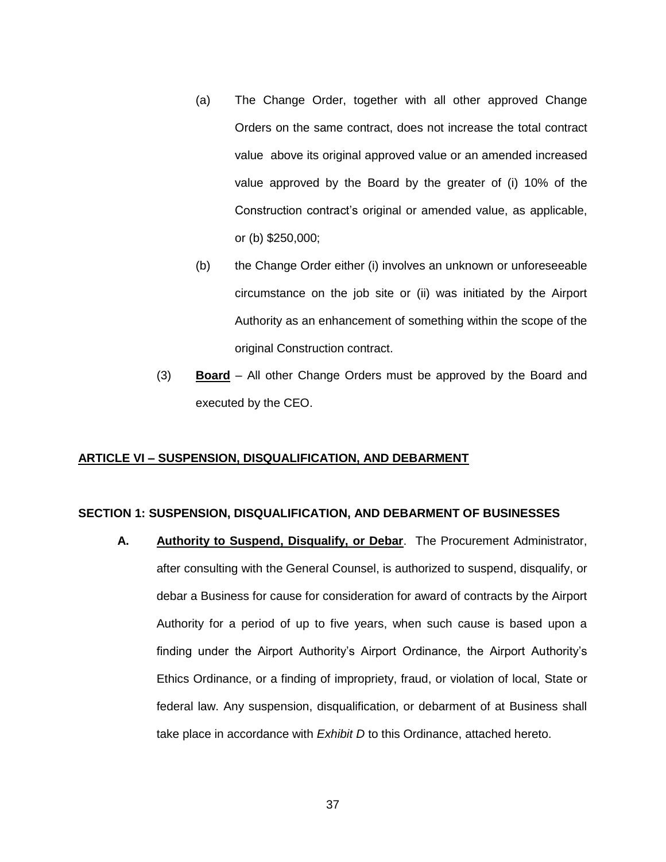- (a) The Change Order, together with all other approved Change Orders on the same contract, does not increase the total contract value above its original approved value or an amended increased value approved by the Board by the greater of (i) 10% of the Construction contract's original or amended value, as applicable, or (b) \$250,000;
- (b) the Change Order either (i) involves an unknown or unforeseeable circumstance on the job site or (ii) was initiated by the Airport Authority as an enhancement of something within the scope of the original Construction contract.
- (3) **Board** All other Change Orders must be approved by the Board and executed by the CEO.

# **ARTICLE VI – SUSPENSION, DISQUALIFICATION, AND DEBARMENT**

#### **SECTION 1: SUSPENSION, DISQUALIFICATION, AND DEBARMENT OF BUSINESSES**

**A. Authority to Suspend, Disqualify, or Debar**. The Procurement Administrator, after consulting with the General Counsel, is authorized to suspend, disqualify, or debar a Business for cause for consideration for award of contracts by the Airport Authority for a period of up to five years, when such cause is based upon a finding under the Airport Authority's Airport Ordinance, the Airport Authority's Ethics Ordinance, or a finding of impropriety, fraud, or violation of local, State or federal law. Any suspension, disqualification, or debarment of at Business shall take place in accordance with *Exhibit D* to this Ordinance, attached hereto.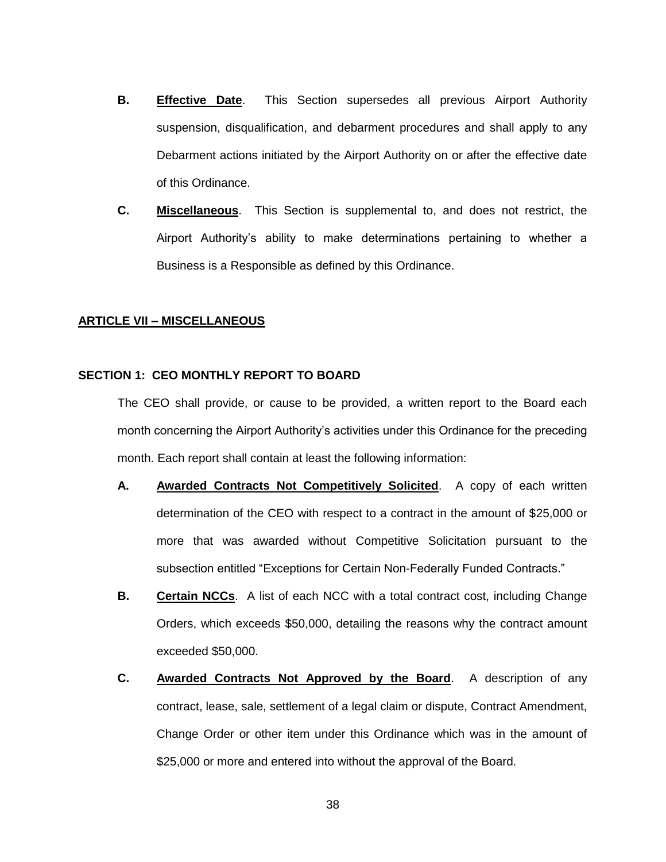- **B. Effective Date**. This Section supersedes all previous Airport Authority suspension, disqualification, and debarment procedures and shall apply to any Debarment actions initiated by the Airport Authority on or after the effective date of this Ordinance.
- **C. Miscellaneous**. This Section is supplemental to, and does not restrict, the Airport Authority's ability to make determinations pertaining to whether a Business is a Responsible as defined by this Ordinance.

## **ARTICLE VII – MISCELLANEOUS**

#### **SECTION 1: CEO MONTHLY REPORT TO BOARD**

The CEO shall provide, or cause to be provided, a written report to the Board each month concerning the Airport Authority's activities under this Ordinance for the preceding month. Each report shall contain at least the following information:

- **A. Awarded Contracts Not Competitively Solicited**. A copy of each written determination of the CEO with respect to a contract in the amount of \$25,000 or more that was awarded without Competitive Solicitation pursuant to the subsection entitled "Exceptions for Certain Non-Federally Funded Contracts."
- **B.** Certain NCCs. A list of each NCC with a total contract cost, including Change Orders, which exceeds \$50,000, detailing the reasons why the contract amount exceeded \$50,000.
- **C. Awarded Contracts Not Approved by the Board**. A description of any contract, lease, sale, settlement of a legal claim or dispute, Contract Amendment, Change Order or other item under this Ordinance which was in the amount of \$25,000 or more and entered into without the approval of the Board.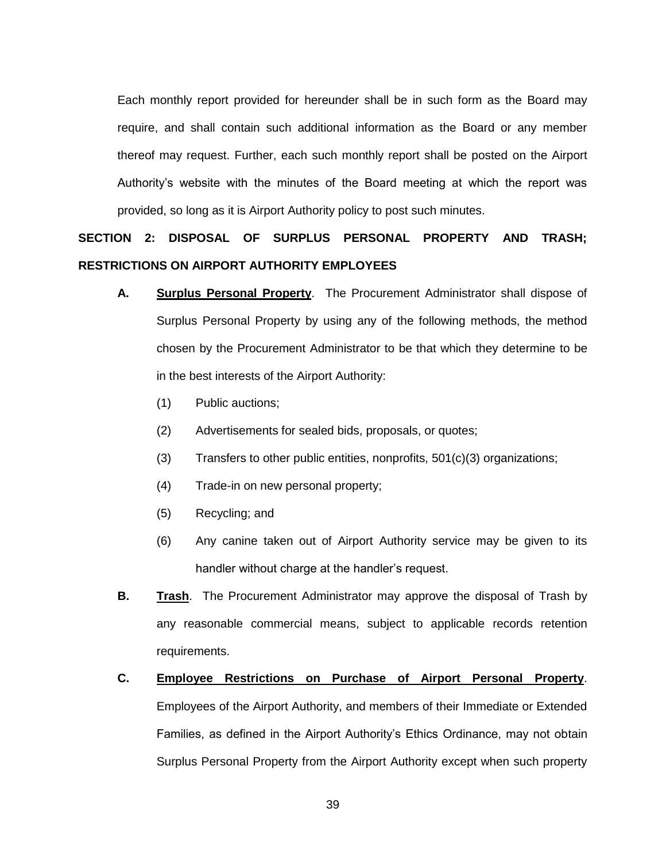Each monthly report provided for hereunder shall be in such form as the Board may require, and shall contain such additional information as the Board or any member thereof may request. Further, each such monthly report shall be posted on the Airport Authority's website with the minutes of the Board meeting at which the report was provided, so long as it is Airport Authority policy to post such minutes.

**SECTION 2: DISPOSAL OF SURPLUS PERSONAL PROPERTY AND TRASH; RESTRICTIONS ON AIRPORT AUTHORITY EMPLOYEES**

- **A. Surplus Personal Property**. The Procurement Administrator shall dispose of Surplus Personal Property by using any of the following methods, the method chosen by the Procurement Administrator to be that which they determine to be in the best interests of the Airport Authority:
	- (1) Public auctions;
	- (2) Advertisements for sealed bids, proposals, or quotes;
	- $(3)$  Transfers to other public entities, nonprofits, 501 $(c)(3)$  organizations;
	- (4) Trade-in on new personal property;
	- (5) Recycling; and
	- (6) Any canine taken out of Airport Authority service may be given to its handler without charge at the handler's request.
- **B. Trash**. The Procurement Administrator may approve the disposal of Trash by any reasonable commercial means, subject to applicable records retention requirements.

# **C. Employee Restrictions on Purchase of Airport Personal Property**. Employees of the Airport Authority, and members of their Immediate or Extended Families, as defined in the Airport Authority's Ethics Ordinance, may not obtain Surplus Personal Property from the Airport Authority except when such property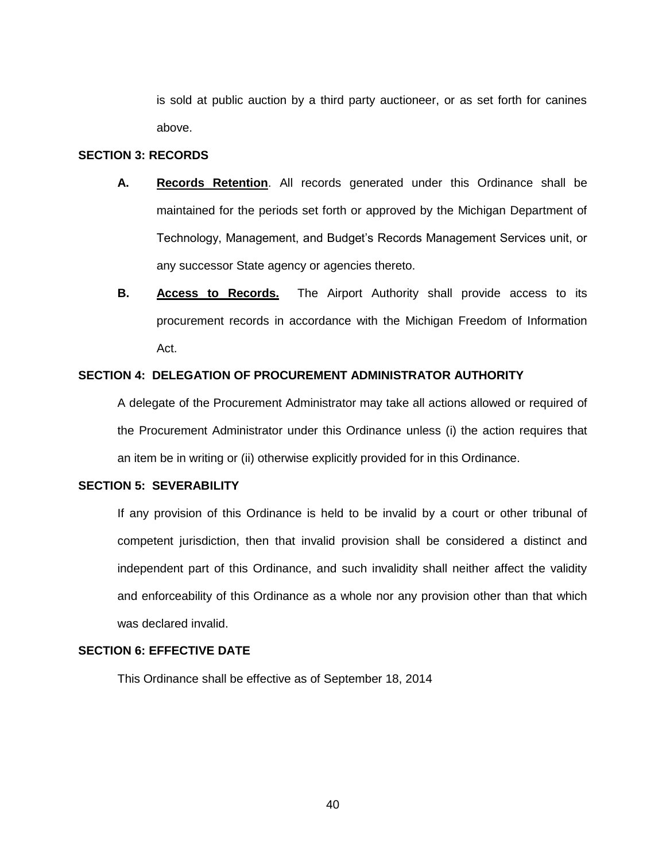is sold at public auction by a third party auctioneer, or as set forth for canines above.

# **SECTION 3: RECORDS**

- **A. Records Retention**. All records generated under this Ordinance shall be maintained for the periods set forth or approved by the Michigan Department of Technology, Management, and Budget's Records Management Services unit, or any successor State agency or agencies thereto.
- **B. Access to Records.** The Airport Authority shall provide access to its procurement records in accordance with the Michigan Freedom of Information Act.

## **SECTION 4: DELEGATION OF PROCUREMENT ADMINISTRATOR AUTHORITY**

A delegate of the Procurement Administrator may take all actions allowed or required of the Procurement Administrator under this Ordinance unless (i) the action requires that an item be in writing or (ii) otherwise explicitly provided for in this Ordinance.

# **SECTION 5: SEVERABILITY**

If any provision of this Ordinance is held to be invalid by a court or other tribunal of competent jurisdiction, then that invalid provision shall be considered a distinct and independent part of this Ordinance, and such invalidity shall neither affect the validity and enforceability of this Ordinance as a whole nor any provision other than that which was declared invalid.

# **SECTION 6: EFFECTIVE DATE**

This Ordinance shall be effective as of September 18, 2014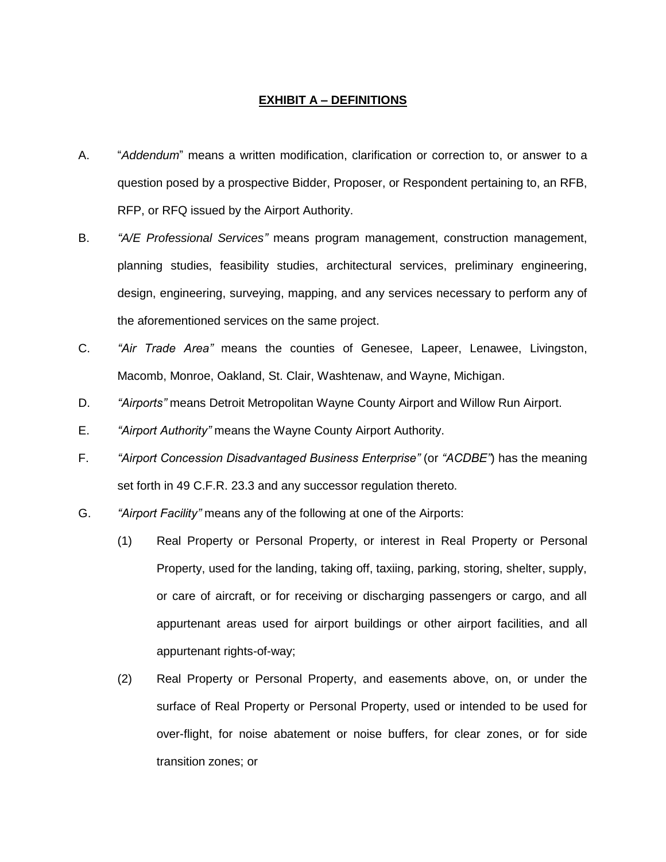## **EXHIBIT A – DEFINITIONS**

- A. "*Addendum*" means a written modification, clarification or correction to, or answer to a question posed by a prospective Bidder, Proposer, or Respondent pertaining to, an RFB, RFP, or RFQ issued by the Airport Authority.
- B. *"A/E Professional Services"* means program management, construction management, planning studies, feasibility studies, architectural services, preliminary engineering, design, engineering, surveying, mapping, and any services necessary to perform any of the aforementioned services on the same project.
- C. *"Air Trade Area"* means the counties of Genesee, Lapeer, Lenawee, Livingston, Macomb, Monroe, Oakland, St. Clair, Washtenaw, and Wayne, Michigan.
- D. *"Airports"* means Detroit Metropolitan Wayne County Airport and Willow Run Airport.
- E. *"Airport Authority"* means the Wayne County Airport Authority.
- F. *"Airport Concession Disadvantaged Business Enterprise"* (or *"ACDBE"*) has the meaning set forth in 49 C.F.R. 23.3 and any successor regulation thereto.
- G. *"Airport Facility"* means any of the following at one of the Airports:
	- (1) Real Property or Personal Property, or interest in Real Property or Personal Property, used for the landing, taking off, taxiing, parking, storing, shelter, supply, or care of aircraft, or for receiving or discharging passengers or cargo, and all appurtenant areas used for airport buildings or other airport facilities, and all appurtenant rights-of-way;
	- (2) Real Property or Personal Property, and easements above, on, or under the surface of Real Property or Personal Property, used or intended to be used for over-flight, for noise abatement or noise buffers, for clear zones, or for side transition zones; or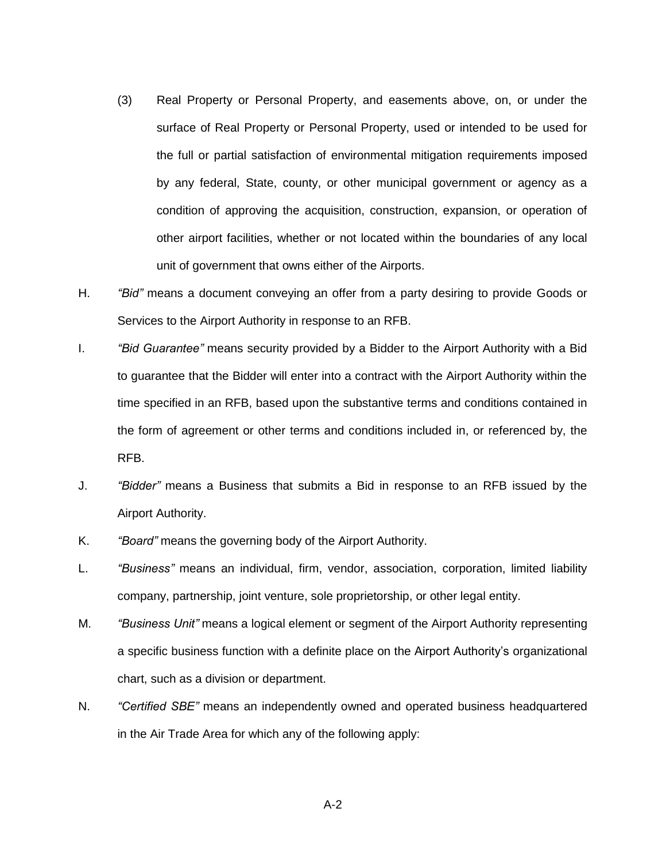- (3) Real Property or Personal Property, and easements above, on, or under the surface of Real Property or Personal Property, used or intended to be used for the full or partial satisfaction of environmental mitigation requirements imposed by any federal, State, county, or other municipal government or agency as a condition of approving the acquisition, construction, expansion, or operation of other airport facilities, whether or not located within the boundaries of any local unit of government that owns either of the Airports.
- H. *"Bid"* means a document conveying an offer from a party desiring to provide Goods or Services to the Airport Authority in response to an RFB.
- I. *"Bid Guarantee"* means security provided by a Bidder to the Airport Authority with a Bid to guarantee that the Bidder will enter into a contract with the Airport Authority within the time specified in an RFB, based upon the substantive terms and conditions contained in the form of agreement or other terms and conditions included in, or referenced by, the RFB.
- J. *"Bidder"* means a Business that submits a Bid in response to an RFB issued by the Airport Authority.
- K. *"Board"* means the governing body of the Airport Authority.
- L. *"Business"* means an individual, firm, vendor, association, corporation, limited liability company, partnership, joint venture, sole proprietorship, or other legal entity.
- M. *"Business Unit"* means a logical element or segment of the Airport Authority representing a specific business function with a definite place on the Airport Authority's organizational chart, such as a division or department.
- N. *"Certified SBE"* means an independently owned and operated business headquartered in the Air Trade Area for which any of the following apply:

A-2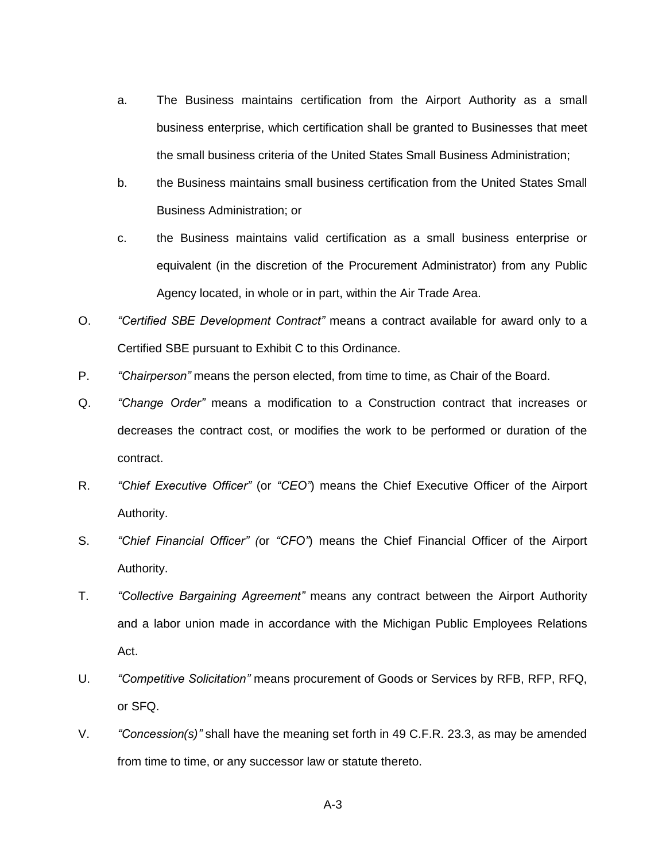- a. The Business maintains certification from the Airport Authority as a small business enterprise, which certification shall be granted to Businesses that meet the small business criteria of the United States Small Business Administration;
- b. the Business maintains small business certification from the United States Small Business Administration; or
- c. the Business maintains valid certification as a small business enterprise or equivalent (in the discretion of the Procurement Administrator) from any Public Agency located, in whole or in part, within the Air Trade Area.
- O. *"Certified SBE Development Contract"* means a contract available for award only to a Certified SBE pursuant to Exhibit C to this Ordinance.
- P. *"Chairperson"* means the person elected, from time to time, as Chair of the Board.
- Q. *"Change Order"* means a modification to a Construction contract that increases or decreases the contract cost, or modifies the work to be performed or duration of the contract.
- R. *"Chief Executive Officer"* (or *"CEO"*) means the Chief Executive Officer of the Airport Authority.
- S. *"Chief Financial Officer" (*or *"CFO"*) means the Chief Financial Officer of the Airport Authority.
- T. *"Collective Bargaining Agreement"* means any contract between the Airport Authority and a labor union made in accordance with the Michigan Public Employees Relations Act.
- U. *"Competitive Solicitation"* means procurement of Goods or Services by RFB, RFP, RFQ, or SFQ.
- V. *"Concession(s)"* shall have the meaning set forth in 49 C.F.R. 23.3, as may be amended from time to time, or any successor law or statute thereto.

A-3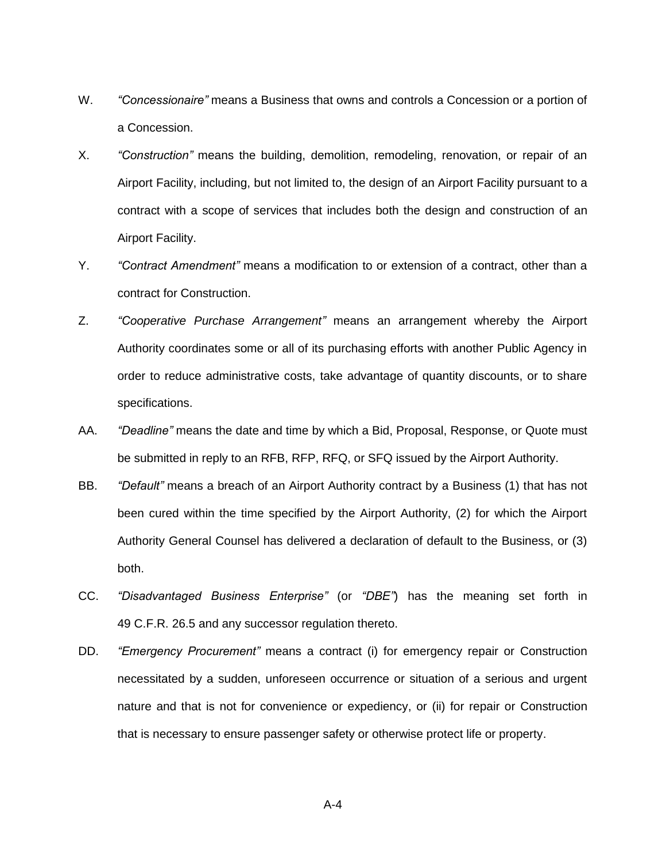- W. *"Concessionaire"* means a Business that owns and controls a Concession or a portion of a Concession.
- X. *"Construction"* means the building, demolition, remodeling, renovation, or repair of an Airport Facility, including, but not limited to, the design of an Airport Facility pursuant to a contract with a scope of services that includes both the design and construction of an Airport Facility.
- Y. *"Contract Amendment"* means a modification to or extension of a contract, other than a contract for Construction.
- Z. *"Cooperative Purchase Arrangement"* means an arrangement whereby the Airport Authority coordinates some or all of its purchasing efforts with another Public Agency in order to reduce administrative costs, take advantage of quantity discounts, or to share specifications.
- AA. *"Deadline"* means the date and time by which a Bid, Proposal, Response, or Quote must be submitted in reply to an RFB, RFP, RFQ, or SFQ issued by the Airport Authority.
- BB. *"Default"* means a breach of an Airport Authority contract by a Business (1) that has not been cured within the time specified by the Airport Authority, (2) for which the Airport Authority General Counsel has delivered a declaration of default to the Business, or (3) both.
- CC. *"Disadvantaged Business Enterprise"* (or *"DBE"*) has the meaning set forth in 49 C.F.R. 26.5 and any successor regulation thereto.
- DD. *"Emergency Procurement"* means a contract (i) for emergency repair or Construction necessitated by a sudden, unforeseen occurrence or situation of a serious and urgent nature and that is not for convenience or expediency, or (ii) for repair or Construction that is necessary to ensure passenger safety or otherwise protect life or property.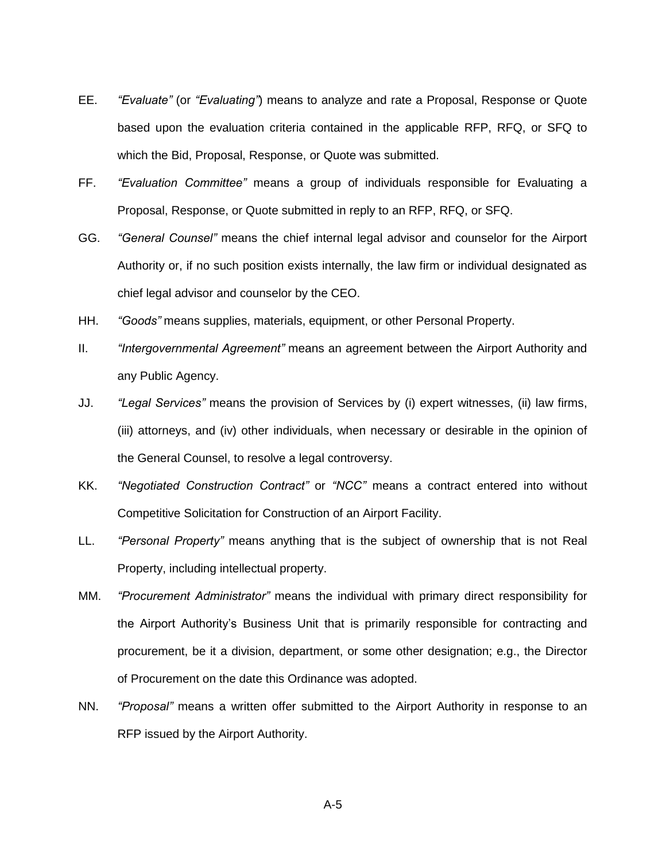- EE. *"Evaluate"* (or *"Evaluating"*) means to analyze and rate a Proposal, Response or Quote based upon the evaluation criteria contained in the applicable RFP, RFQ, or SFQ to which the Bid, Proposal, Response, or Quote was submitted.
- FF. *"Evaluation Committee"* means a group of individuals responsible for Evaluating a Proposal, Response, or Quote submitted in reply to an RFP, RFQ, or SFQ.
- GG. *"General Counsel"* means the chief internal legal advisor and counselor for the Airport Authority or, if no such position exists internally, the law firm or individual designated as chief legal advisor and counselor by the CEO.
- HH. *"Goods"* means supplies, materials, equipment, or other Personal Property.
- II. *"Intergovernmental Agreement"* means an agreement between the Airport Authority and any Public Agency.
- JJ. *"Legal Services"* means the provision of Services by (i) expert witnesses, (ii) law firms, (iii) attorneys, and (iv) other individuals, when necessary or desirable in the opinion of the General Counsel, to resolve a legal controversy.
- KK. *"Negotiated Construction Contract"* or *"NCC"* means a contract entered into without Competitive Solicitation for Construction of an Airport Facility.
- LL. *"Personal Property"* means anything that is the subject of ownership that is not Real Property, including intellectual property.
- MM. *"Procurement Administrator"* means the individual with primary direct responsibility for the Airport Authority's Business Unit that is primarily responsible for contracting and procurement, be it a division, department, or some other designation; e.g., the Director of Procurement on the date this Ordinance was adopted.
- NN. *"Proposal"* means a written offer submitted to the Airport Authority in response to an RFP issued by the Airport Authority.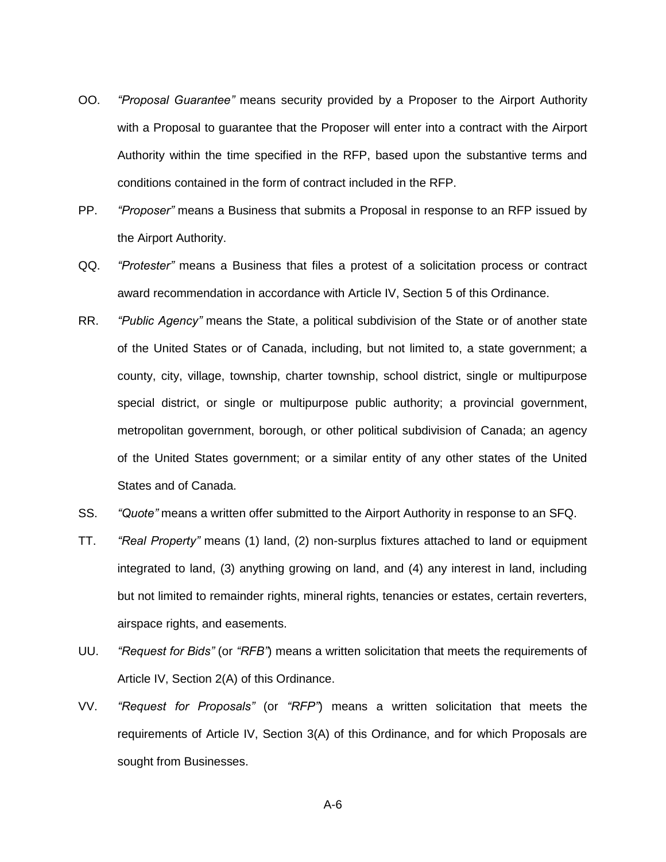- OO. *"Proposal Guarantee"* means security provided by a Proposer to the Airport Authority with a Proposal to guarantee that the Proposer will enter into a contract with the Airport Authority within the time specified in the RFP, based upon the substantive terms and conditions contained in the form of contract included in the RFP.
- PP. *"Proposer"* means a Business that submits a Proposal in response to an RFP issued by the Airport Authority.
- QQ. *"Protester"* means a Business that files a protest of a solicitation process or contract award recommendation in accordance with Article IV, Section 5 of this Ordinance.
- RR. *"Public Agency"* means the State, a political subdivision of the State or of another state of the United States or of Canada, including, but not limited to, a state government; a county, city, village, township, charter township, school district, single or multipurpose special district, or single or multipurpose public authority; a provincial government, metropolitan government, borough, or other political subdivision of Canada; an agency of the United States government; or a similar entity of any other states of the United States and of Canada.
- SS. *"Quote"* means a written offer submitted to the Airport Authority in response to an SFQ.
- TT. *"Real Property"* means (1) land, (2) non-surplus fixtures attached to land or equipment integrated to land, (3) anything growing on land, and (4) any interest in land, including but not limited to remainder rights, mineral rights, tenancies or estates, certain reverters, airspace rights, and easements.
- UU. *"Request for Bids"* (or *"RFB"*) means a written solicitation that meets the requirements of Article IV, Section 2(A) of this Ordinance.
- VV. *"Request for Proposals"* (or *"RFP"*) means a written solicitation that meets the requirements of Article IV, Section 3(A) of this Ordinance, and for which Proposals are sought from Businesses.

A-6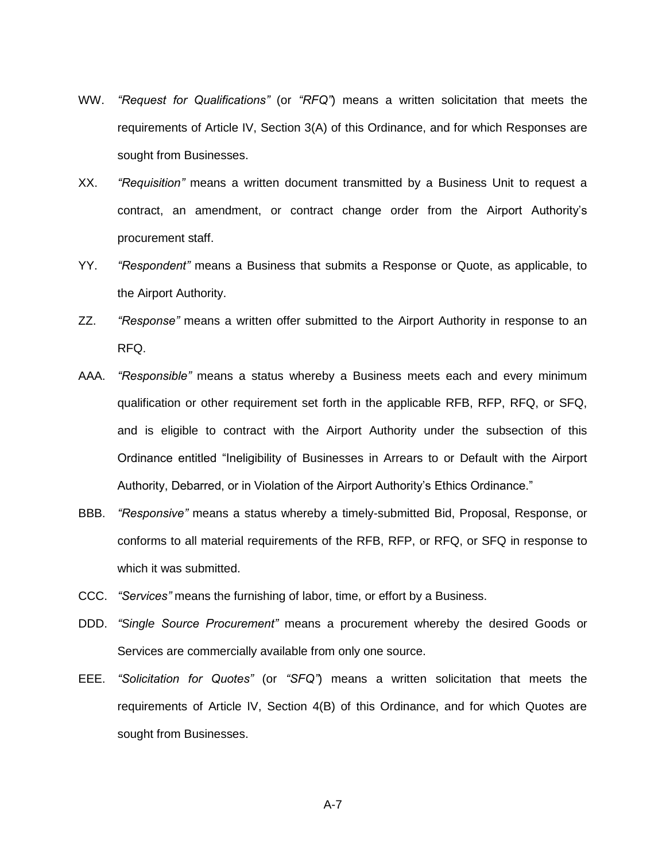- WW. *"Request for Qualifications"* (or *"RFQ"*) means a written solicitation that meets the requirements of Article IV, Section 3(A) of this Ordinance, and for which Responses are sought from Businesses.
- XX. *"Requisition"* means a written document transmitted by a Business Unit to request a contract, an amendment, or contract change order from the Airport Authority's procurement staff.
- YY. *"Respondent"* means a Business that submits a Response or Quote, as applicable, to the Airport Authority.
- ZZ. *"Response"* means a written offer submitted to the Airport Authority in response to an RFQ.
- AAA. *"Responsible"* means a status whereby a Business meets each and every minimum qualification or other requirement set forth in the applicable RFB, RFP, RFQ, or SFQ, and is eligible to contract with the Airport Authority under the subsection of this Ordinance entitled "Ineligibility of Businesses in Arrears to or Default with the Airport Authority, Debarred, or in Violation of the Airport Authority's Ethics Ordinance."
- BBB. *"Responsive"* means a status whereby a timely-submitted Bid, Proposal, Response, or conforms to all material requirements of the RFB, RFP, or RFQ, or SFQ in response to which it was submitted.
- CCC. *"Services"* means the furnishing of labor, time, or effort by a Business.
- DDD. *"Single Source Procurement"* means a procurement whereby the desired Goods or Services are commercially available from only one source.
- EEE. *"Solicitation for Quotes"* (or *"SFQ"*) means a written solicitation that meets the requirements of Article IV, Section 4(B) of this Ordinance, and for which Quotes are sought from Businesses.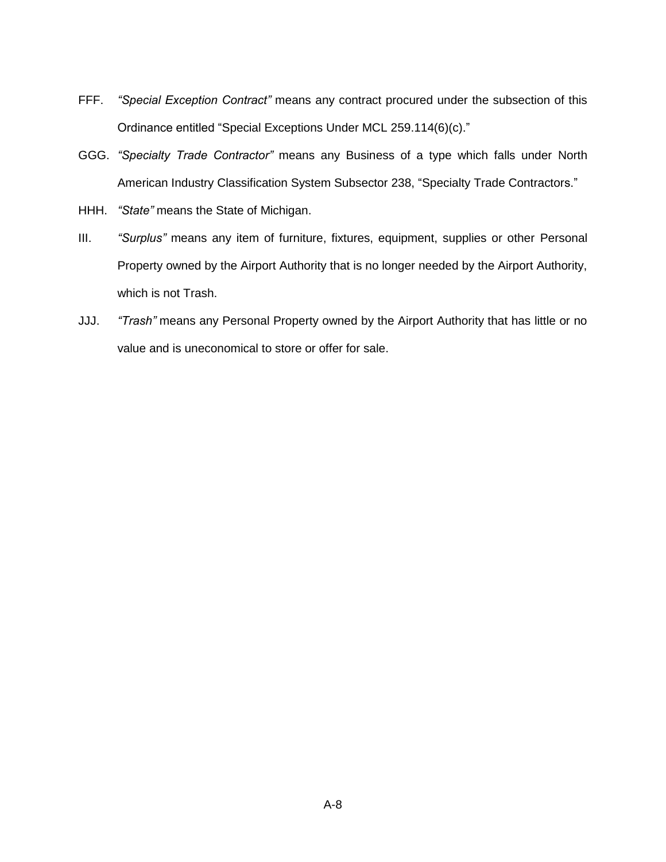- FFF. *"Special Exception Contract"* means any contract procured under the subsection of this Ordinance entitled "Special Exceptions Under MCL 259.114(6)(c)."
- GGG. *"Specialty Trade Contractor"* means any Business of a type which falls under North American Industry Classification System Subsector 238, "Specialty Trade Contractors."
- HHH. *"State"* means the State of Michigan.
- III. *"Surplus"* means any item of furniture, fixtures, equipment, supplies or other Personal Property owned by the Airport Authority that is no longer needed by the Airport Authority, which is not Trash.
- JJJ. *"Trash"* means any Personal Property owned by the Airport Authority that has little or no value and is uneconomical to store or offer for sale.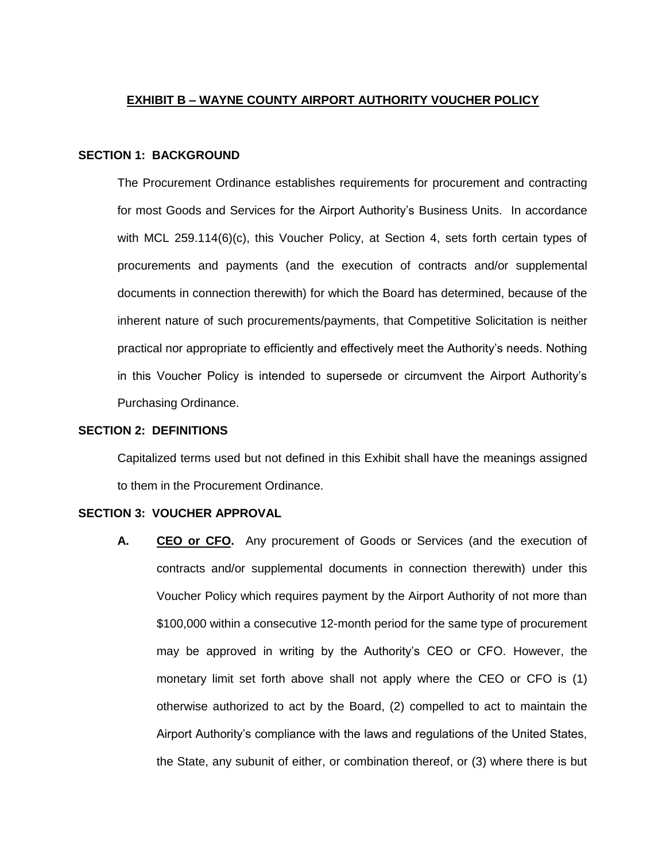# **EXHIBIT B – WAYNE COUNTY AIRPORT AUTHORITY VOUCHER POLICY**

#### **SECTION 1: BACKGROUND**

The Procurement Ordinance establishes requirements for procurement and contracting for most Goods and Services for the Airport Authority's Business Units. In accordance with MCL 259.114(6)(c), this Voucher Policy, at Section 4, sets forth certain types of procurements and payments (and the execution of contracts and/or supplemental documents in connection therewith) for which the Board has determined, because of the inherent nature of such procurements/payments, that Competitive Solicitation is neither practical nor appropriate to efficiently and effectively meet the Authority's needs. Nothing in this Voucher Policy is intended to supersede or circumvent the Airport Authority's Purchasing Ordinance.

#### **SECTION 2: DEFINITIONS**

Capitalized terms used but not defined in this Exhibit shall have the meanings assigned to them in the Procurement Ordinance.

#### **SECTION 3: VOUCHER APPROVAL**

**A. CEO or CFO.** Any procurement of Goods or Services (and the execution of contracts and/or supplemental documents in connection therewith) under this Voucher Policy which requires payment by the Airport Authority of not more than \$100,000 within a consecutive 12-month period for the same type of procurement may be approved in writing by the Authority's CEO or CFO. However, the monetary limit set forth above shall not apply where the CEO or CFO is (1) otherwise authorized to act by the Board, (2) compelled to act to maintain the Airport Authority's compliance with the laws and regulations of the United States, the State, any subunit of either, or combination thereof, or (3) where there is but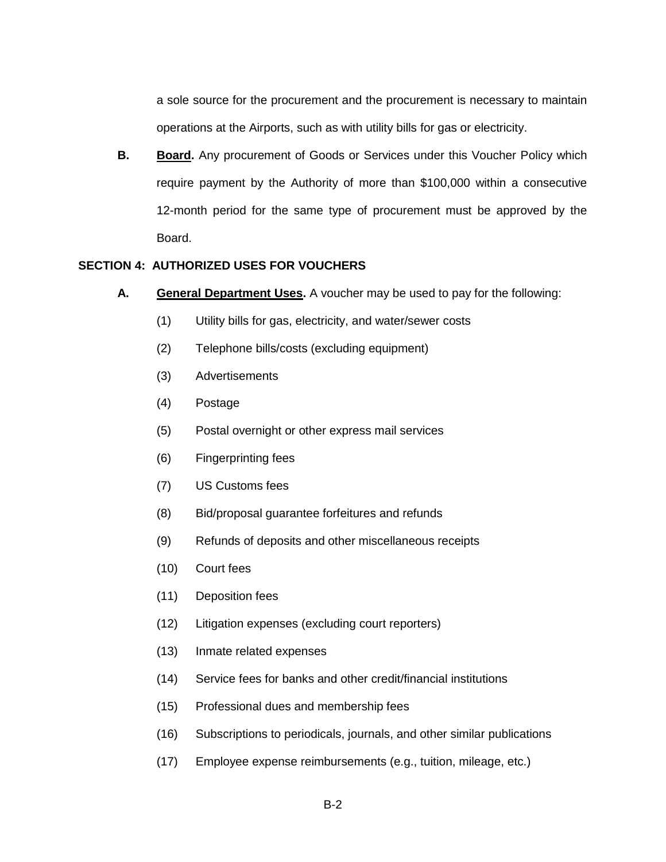a sole source for the procurement and the procurement is necessary to maintain operations at the Airports, such as with utility bills for gas or electricity.

**B. Board.** Any procurement of Goods or Services under this Voucher Policy which require payment by the Authority of more than \$100,000 within a consecutive 12-month period for the same type of procurement must be approved by the Board.

# **SECTION 4: AUTHORIZED USES FOR VOUCHERS**

- **A. General Department Uses.** A voucher may be used to pay for the following:
	- (1) Utility bills for gas, electricity, and water/sewer costs
	- (2) Telephone bills/costs (excluding equipment)
	- (3) Advertisements
	- (4) Postage
	- (5) Postal overnight or other express mail services
	- (6) Fingerprinting fees
	- (7) US Customs fees
	- (8) Bid/proposal guarantee forfeitures and refunds
	- (9) Refunds of deposits and other miscellaneous receipts
	- (10) Court fees
	- (11) Deposition fees
	- (12) Litigation expenses (excluding court reporters)
	- (13) Inmate related expenses
	- (14) Service fees for banks and other credit/financial institutions
	- (15) Professional dues and membership fees
	- (16) Subscriptions to periodicals, journals, and other similar publications
	- (17) Employee expense reimbursements (e.g., tuition, mileage, etc.)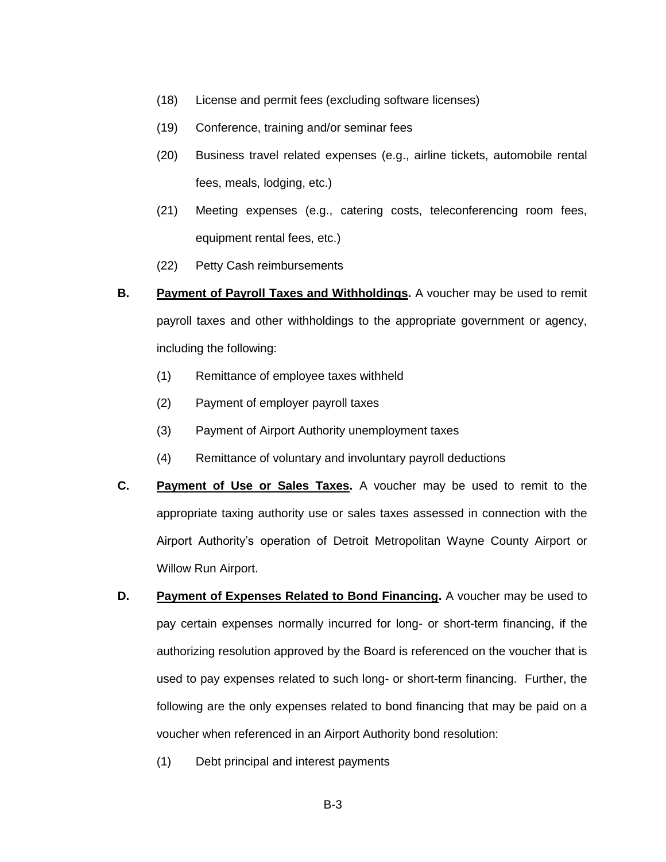- (18) License and permit fees (excluding software licenses)
- (19) Conference, training and/or seminar fees
- (20) Business travel related expenses (e.g., airline tickets, automobile rental fees, meals, lodging, etc.)
- (21) Meeting expenses (e.g., catering costs, teleconferencing room fees, equipment rental fees, etc.)
- (22) Petty Cash reimbursements
- **B. Payment of Payroll Taxes and Withholdings.** A voucher may be used to remit payroll taxes and other withholdings to the appropriate government or agency, including the following:
	- (1) Remittance of employee taxes withheld
	- (2) Payment of employer payroll taxes
	- (3) Payment of Airport Authority unemployment taxes
	- (4) Remittance of voluntary and involuntary payroll deductions
- **C. Payment of Use or Sales Taxes.** A voucher may be used to remit to the appropriate taxing authority use or sales taxes assessed in connection with the Airport Authority's operation of Detroit Metropolitan Wayne County Airport or Willow Run Airport.
- **D. Payment of Expenses Related to Bond Financing.** A voucher may be used to pay certain expenses normally incurred for long- or short-term financing, if the authorizing resolution approved by the Board is referenced on the voucher that is used to pay expenses related to such long- or short-term financing. Further, the following are the only expenses related to bond financing that may be paid on a voucher when referenced in an Airport Authority bond resolution:
	- (1) Debt principal and interest payments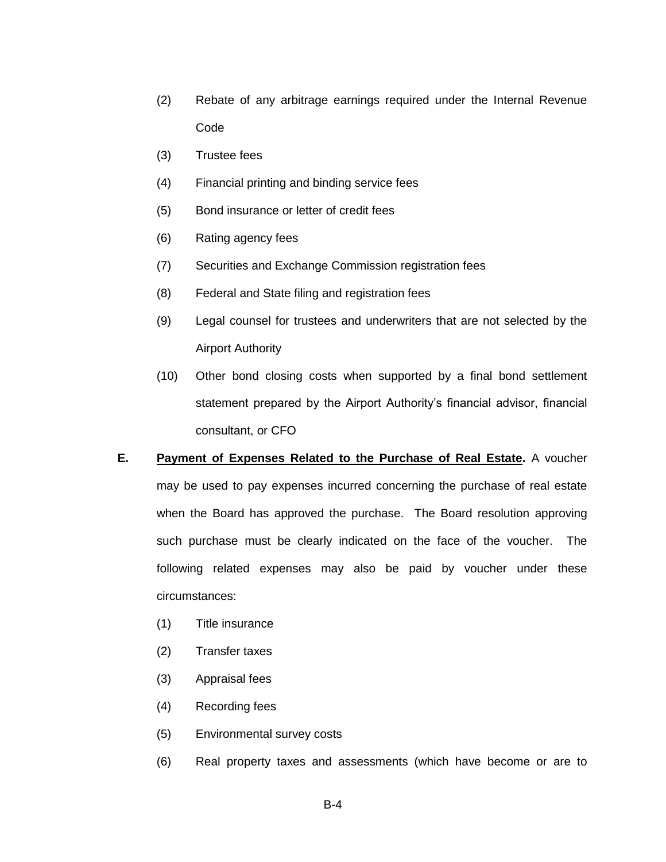- (2) Rebate of any arbitrage earnings required under the Internal Revenue Code
- (3) Trustee fees
- (4) Financial printing and binding service fees
- (5) Bond insurance or letter of credit fees
- (6) Rating agency fees
- (7) Securities and Exchange Commission registration fees
- (8) Federal and State filing and registration fees
- (9) Legal counsel for trustees and underwriters that are not selected by the Airport Authority
- (10) Other bond closing costs when supported by a final bond settlement statement prepared by the Airport Authority's financial advisor, financial consultant, or CFO
- **E. Payment of Expenses Related to the Purchase of Real Estate.** A voucher may be used to pay expenses incurred concerning the purchase of real estate when the Board has approved the purchase. The Board resolution approving such purchase must be clearly indicated on the face of the voucher. The following related expenses may also be paid by voucher under these circumstances:
	- (1) Title insurance
	- (2) Transfer taxes
	- (3) Appraisal fees
	- (4) Recording fees
	- (5) Environmental survey costs
	- (6) Real property taxes and assessments (which have become or are to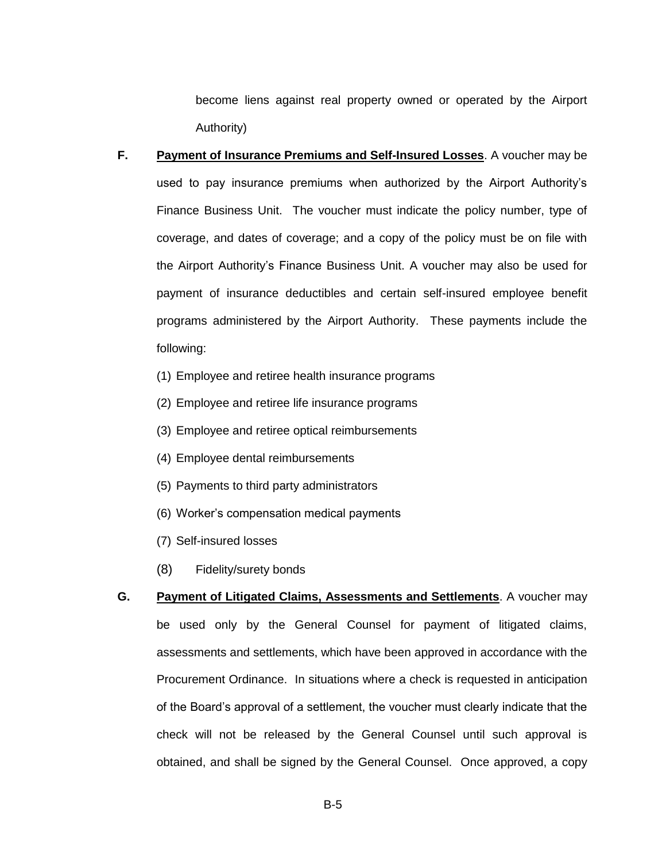become liens against real property owned or operated by the Airport Authority)

- **F. Payment of Insurance Premiums and Self-Insured Losses**. A voucher may be used to pay insurance premiums when authorized by the Airport Authority's Finance Business Unit. The voucher must indicate the policy number, type of coverage, and dates of coverage; and a copy of the policy must be on file with the Airport Authority's Finance Business Unit. A voucher may also be used for payment of insurance deductibles and certain self-insured employee benefit programs administered by the Airport Authority. These payments include the following:
	- (1) Employee and retiree health insurance programs
	- (2) Employee and retiree life insurance programs
	- (3) Employee and retiree optical reimbursements
	- (4) Employee dental reimbursements
	- (5) Payments to third party administrators
	- (6) Worker's compensation medical payments
	- (7) Self-insured losses
	- (8) Fidelity/surety bonds

# **G. Payment of Litigated Claims, Assessments and Settlements**. A voucher may be used only by the General Counsel for payment of litigated claims, assessments and settlements, which have been approved in accordance with the Procurement Ordinance. In situations where a check is requested in anticipation of the Board's approval of a settlement, the voucher must clearly indicate that the check will not be released by the General Counsel until such approval is obtained, and shall be signed by the General Counsel. Once approved, a copy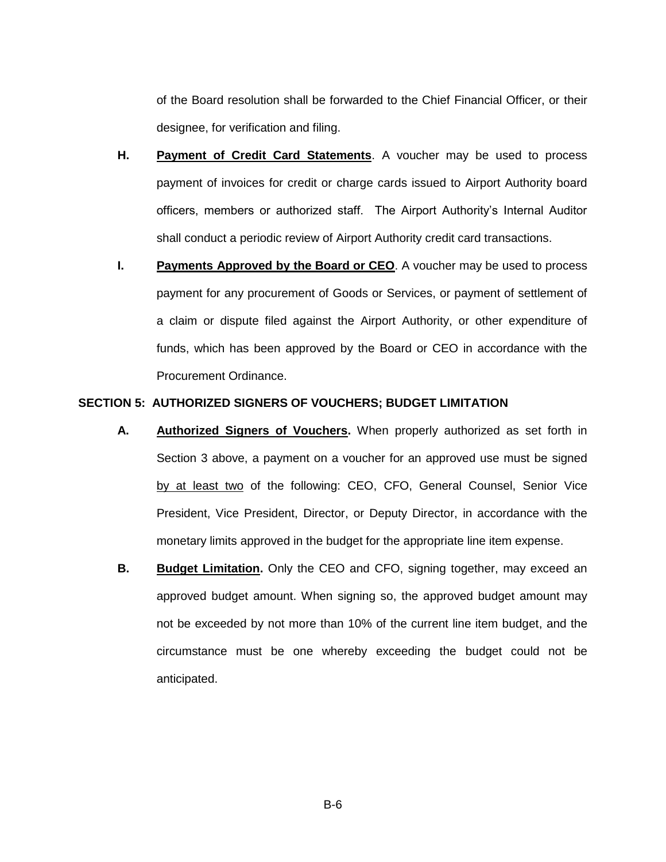of the Board resolution shall be forwarded to the Chief Financial Officer, or their designee, for verification and filing.

- **H. Payment of Credit Card Statements**. A voucher may be used to process payment of invoices for credit or charge cards issued to Airport Authority board officers, members or authorized staff. The Airport Authority's Internal Auditor shall conduct a periodic review of Airport Authority credit card transactions.
- **I.** Payments Approved by the Board or CEO. A voucher may be used to process payment for any procurement of Goods or Services, or payment of settlement of a claim or dispute filed against the Airport Authority, or other expenditure of funds, which has been approved by the Board or CEO in accordance with the Procurement Ordinance.

## **SECTION 5: AUTHORIZED SIGNERS OF VOUCHERS; BUDGET LIMITATION**

- **A. Authorized Signers of Vouchers.** When properly authorized as set forth in Section 3 above, a payment on a voucher for an approved use must be signed by at least two of the following: CEO, CFO, General Counsel, Senior Vice President, Vice President, Director, or Deputy Director, in accordance with the monetary limits approved in the budget for the appropriate line item expense.
- **B. Budget Limitation.** Only the CEO and CFO, signing together, may exceed an approved budget amount. When signing so, the approved budget amount may not be exceeded by not more than 10% of the current line item budget, and the circumstance must be one whereby exceeding the budget could not be anticipated.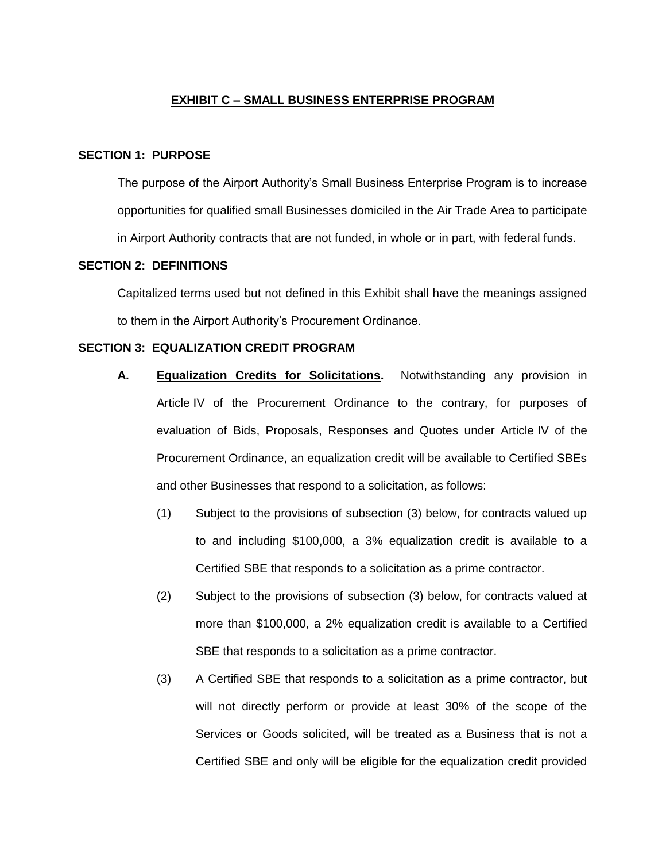# **EXHIBIT C – SMALL BUSINESS ENTERPRISE PROGRAM**

# **SECTION 1: PURPOSE**

The purpose of the Airport Authority's Small Business Enterprise Program is to increase opportunities for qualified small Businesses domiciled in the Air Trade Area to participate in Airport Authority contracts that are not funded, in whole or in part, with federal funds.

# **SECTION 2: DEFINITIONS**

Capitalized terms used but not defined in this Exhibit shall have the meanings assigned to them in the Airport Authority's Procurement Ordinance.

# **SECTION 3: EQUALIZATION CREDIT PROGRAM**

- **A. Equalization Credits for Solicitations.** Notwithstanding any provision in Article IV of the Procurement Ordinance to the contrary, for purposes of evaluation of Bids, Proposals, Responses and Quotes under Article IV of the Procurement Ordinance, an equalization credit will be available to Certified SBEs and other Businesses that respond to a solicitation, as follows:
	- (1) Subject to the provisions of subsection (3) below, for contracts valued up to and including \$100,000, a 3% equalization credit is available to a Certified SBE that responds to a solicitation as a prime contractor.
	- (2) Subject to the provisions of subsection (3) below, for contracts valued at more than \$100,000, a 2% equalization credit is available to a Certified SBE that responds to a solicitation as a prime contractor.
	- (3) A Certified SBE that responds to a solicitation as a prime contractor, but will not directly perform or provide at least 30% of the scope of the Services or Goods solicited, will be treated as a Business that is not a Certified SBE and only will be eligible for the equalization credit provided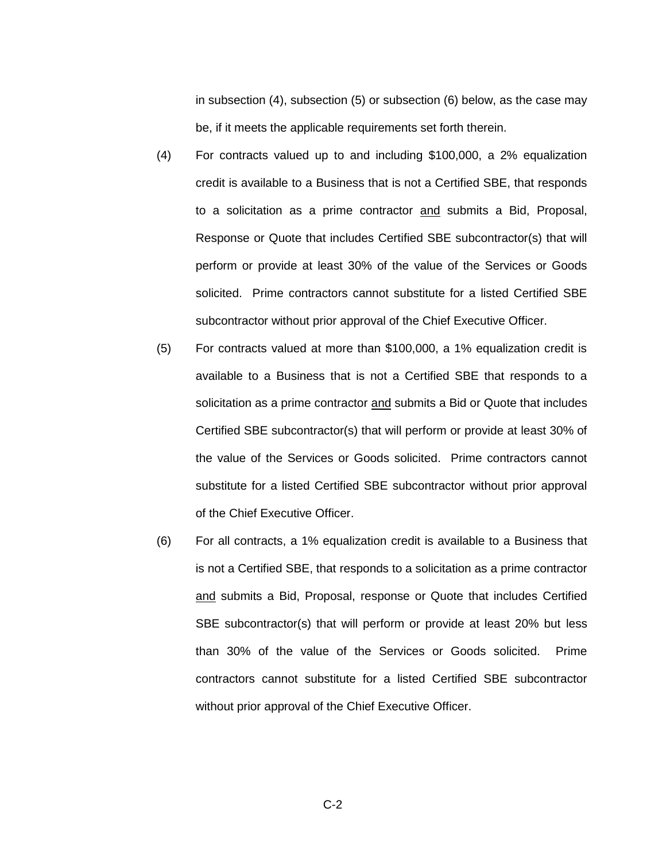in subsection (4), subsection (5) or subsection (6) below, as the case may be, if it meets the applicable requirements set forth therein.

- (4) For contracts valued up to and including \$100,000, a 2% equalization credit is available to a Business that is not a Certified SBE, that responds to a solicitation as a prime contractor and submits a Bid, Proposal, Response or Quote that includes Certified SBE subcontractor(s) that will perform or provide at least 30% of the value of the Services or Goods solicited. Prime contractors cannot substitute for a listed Certified SBE subcontractor without prior approval of the Chief Executive Officer.
- (5) For contracts valued at more than \$100,000, a 1% equalization credit is available to a Business that is not a Certified SBE that responds to a solicitation as a prime contractor and submits a Bid or Quote that includes Certified SBE subcontractor(s) that will perform or provide at least 30% of the value of the Services or Goods solicited. Prime contractors cannot substitute for a listed Certified SBE subcontractor without prior approval of the Chief Executive Officer.
- (6) For all contracts, a 1% equalization credit is available to a Business that is not a Certified SBE, that responds to a solicitation as a prime contractor and submits a Bid, Proposal, response or Quote that includes Certified SBE subcontractor(s) that will perform or provide at least 20% but less than 30% of the value of the Services or Goods solicited. Prime contractors cannot substitute for a listed Certified SBE subcontractor without prior approval of the Chief Executive Officer.

 $C-2$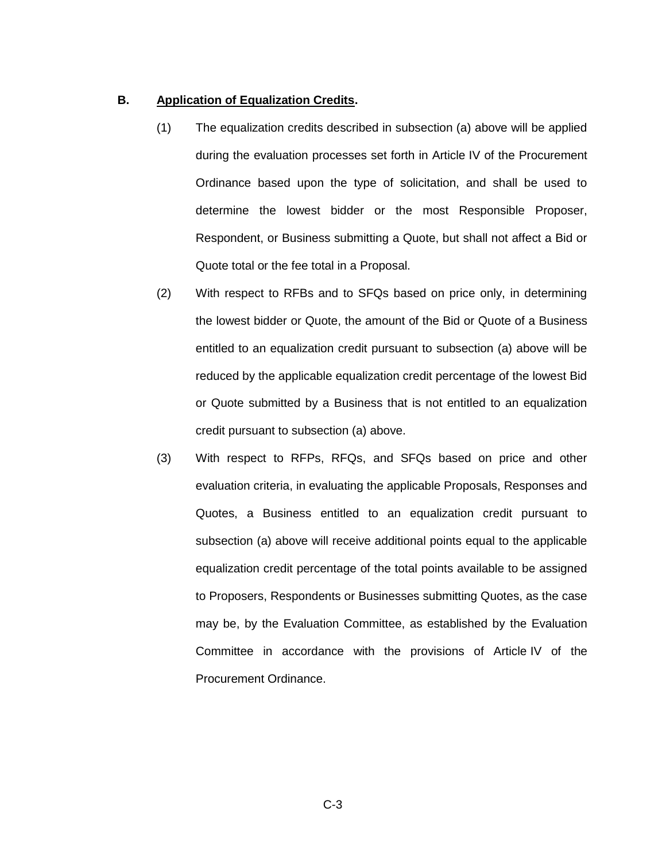## **B. Application of Equalization Credits.**

- (1) The equalization credits described in subsection (a) above will be applied during the evaluation processes set forth in Article IV of the Procurement Ordinance based upon the type of solicitation, and shall be used to determine the lowest bidder or the most Responsible Proposer, Respondent, or Business submitting a Quote, but shall not affect a Bid or Quote total or the fee total in a Proposal.
- (2) With respect to RFBs and to SFQs based on price only, in determining the lowest bidder or Quote, the amount of the Bid or Quote of a Business entitled to an equalization credit pursuant to subsection (a) above will be reduced by the applicable equalization credit percentage of the lowest Bid or Quote submitted by a Business that is not entitled to an equalization credit pursuant to subsection (a) above.
- (3) With respect to RFPs, RFQs, and SFQs based on price and other evaluation criteria, in evaluating the applicable Proposals, Responses and Quotes, a Business entitled to an equalization credit pursuant to subsection (a) above will receive additional points equal to the applicable equalization credit percentage of the total points available to be assigned to Proposers, Respondents or Businesses submitting Quotes, as the case may be, by the Evaluation Committee, as established by the Evaluation Committee in accordance with the provisions of Article IV of the Procurement Ordinance.

C-3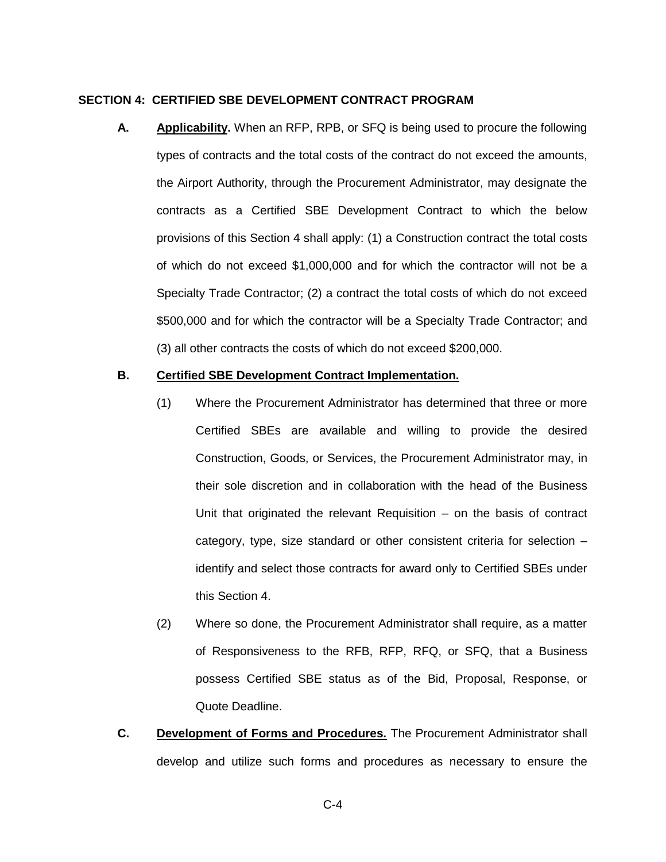### **SECTION 4: CERTIFIED SBE DEVELOPMENT CONTRACT PROGRAM**

**A. Applicability.** When an RFP, RPB, or SFQ is being used to procure the following types of contracts and the total costs of the contract do not exceed the amounts, the Airport Authority, through the Procurement Administrator, may designate the contracts as a Certified SBE Development Contract to which the below provisions of this Section 4 shall apply: (1) a Construction contract the total costs of which do not exceed \$1,000,000 and for which the contractor will not be a Specialty Trade Contractor; (2) a contract the total costs of which do not exceed \$500,000 and for which the contractor will be a Specialty Trade Contractor; and (3) all other contracts the costs of which do not exceed \$200,000.

# **B. Certified SBE Development Contract Implementation.**

- (1) Where the Procurement Administrator has determined that three or more Certified SBEs are available and willing to provide the desired Construction, Goods, or Services, the Procurement Administrator may, in their sole discretion and in collaboration with the head of the Business Unit that originated the relevant Requisition – on the basis of contract category, type, size standard or other consistent criteria for selection – identify and select those contracts for award only to Certified SBEs under this Section 4.
- (2) Where so done, the Procurement Administrator shall require, as a matter of Responsiveness to the RFB, RFP, RFQ, or SFQ, that a Business possess Certified SBE status as of the Bid, Proposal, Response, or Quote Deadline.
- **C. Development of Forms and Procedures.** The Procurement Administrator shall develop and utilize such forms and procedures as necessary to ensure the

C-4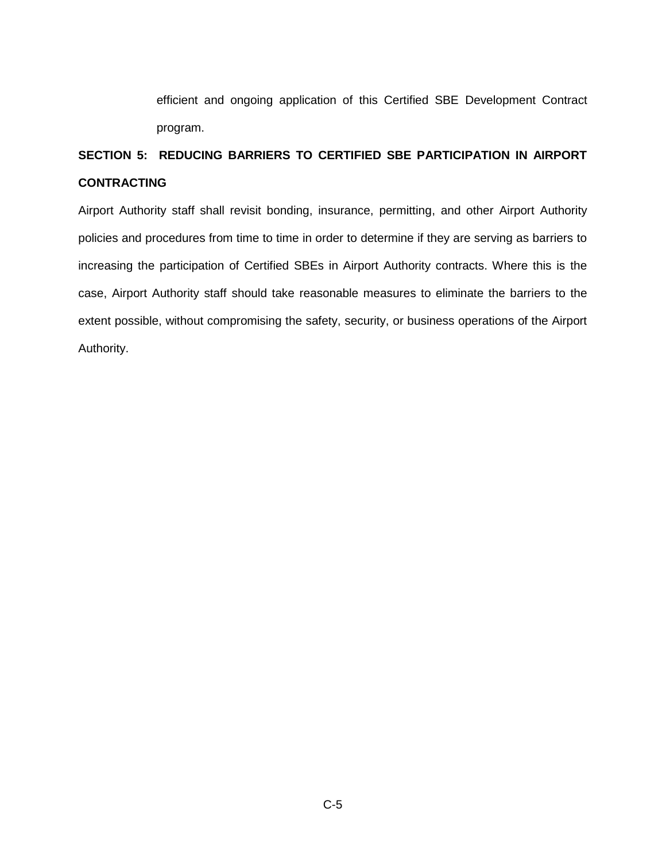efficient and ongoing application of this Certified SBE Development Contract program.

# **SECTION 5: REDUCING BARRIERS TO CERTIFIED SBE PARTICIPATION IN AIRPORT CONTRACTING**

Airport Authority staff shall revisit bonding, insurance, permitting, and other Airport Authority policies and procedures from time to time in order to determine if they are serving as barriers to increasing the participation of Certified SBEs in Airport Authority contracts. Where this is the case, Airport Authority staff should take reasonable measures to eliminate the barriers to the extent possible, without compromising the safety, security, or business operations of the Airport Authority.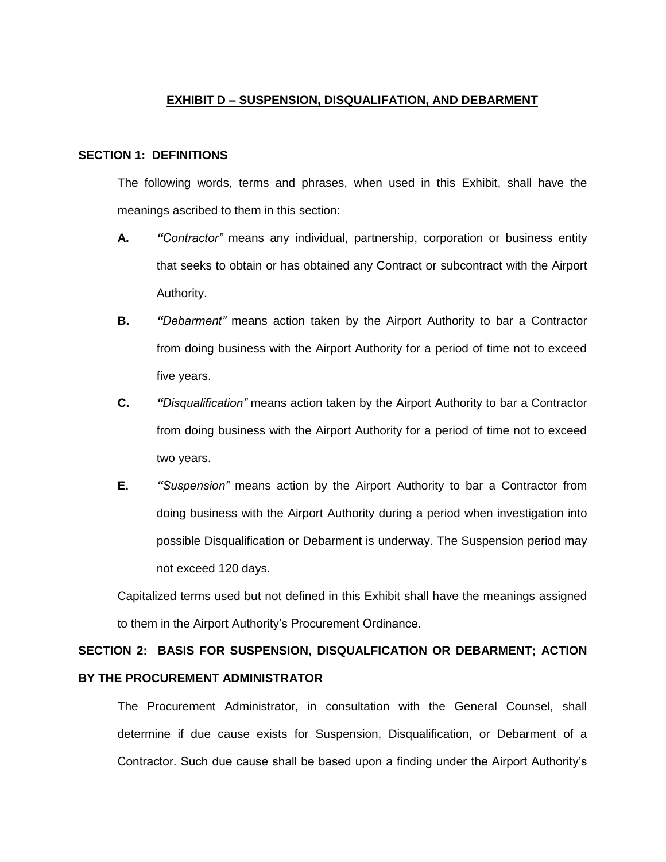# **EXHIBIT D – SUSPENSION, DISQUALIFATION, AND DEBARMENT**

## **SECTION 1: DEFINITIONS**

The following words, terms and phrases, when used in this Exhibit, shall have the meanings ascribed to them in this section:

- **A.** *"Contractor"* means any individual, partnership, corporation or business entity that seeks to obtain or has obtained any Contract or subcontract with the Airport Authority.
- **B.** *"Debarment"* means action taken by the Airport Authority to bar a Contractor from doing business with the Airport Authority for a period of time not to exceed five years.
- **C.** *"Disqualification"* means action taken by the Airport Authority to bar a Contractor from doing business with the Airport Authority for a period of time not to exceed two years.
- **E.** *"Suspension"* means action by the Airport Authority to bar a Contractor from doing business with the Airport Authority during a period when investigation into possible Disqualification or Debarment is underway. The Suspension period may not exceed 120 days.

Capitalized terms used but not defined in this Exhibit shall have the meanings assigned to them in the Airport Authority's Procurement Ordinance.

# **SECTION 2: BASIS FOR SUSPENSION, DISQUALFICATION OR DEBARMENT; ACTION BY THE PROCUREMENT ADMINISTRATOR**

The Procurement Administrator, in consultation with the General Counsel, shall determine if due cause exists for Suspension, Disqualification, or Debarment of a Contractor. Such due cause shall be based upon a finding under the Airport Authority's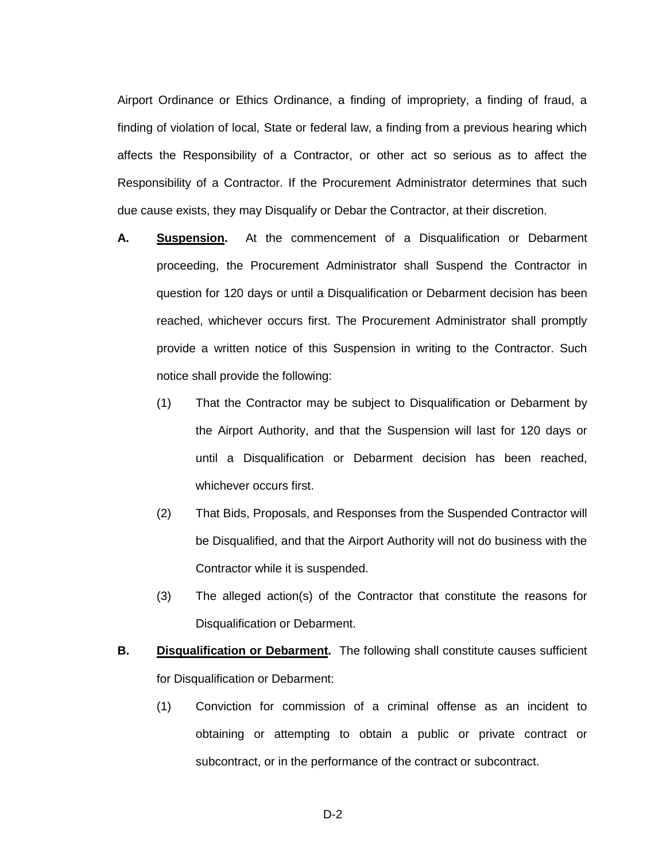Airport Ordinance or Ethics Ordinance, a finding of impropriety, a finding of fraud, a finding of violation of local, State or federal law, a finding from a previous hearing which affects the Responsibility of a Contractor, or other act so serious as to affect the Responsibility of a Contractor. If the Procurement Administrator determines that such due cause exists, they may Disqualify or Debar the Contractor, at their discretion.

- **A. Suspension.** At the commencement of a Disqualification or Debarment proceeding, the Procurement Administrator shall Suspend the Contractor in question for 120 days or until a Disqualification or Debarment decision has been reached, whichever occurs first. The Procurement Administrator shall promptly provide a written notice of this Suspension in writing to the Contractor. Such notice shall provide the following:
	- (1) That the Contractor may be subject to Disqualification or Debarment by the Airport Authority, and that the Suspension will last for 120 days or until a Disqualification or Debarment decision has been reached, whichever occurs first.
	- (2) That Bids, Proposals, and Responses from the Suspended Contractor will be Disqualified, and that the Airport Authority will not do business with the Contractor while it is suspended.
	- (3) The alleged action(s) of the Contractor that constitute the reasons for Disqualification or Debarment.
- **B. Disqualification or Debarment.** The following shall constitute causes sufficient for Disqualification or Debarment:
	- (1) Conviction for commission of a criminal offense as an incident to obtaining or attempting to obtain a public or private contract or subcontract, or in the performance of the contract or subcontract.

D-2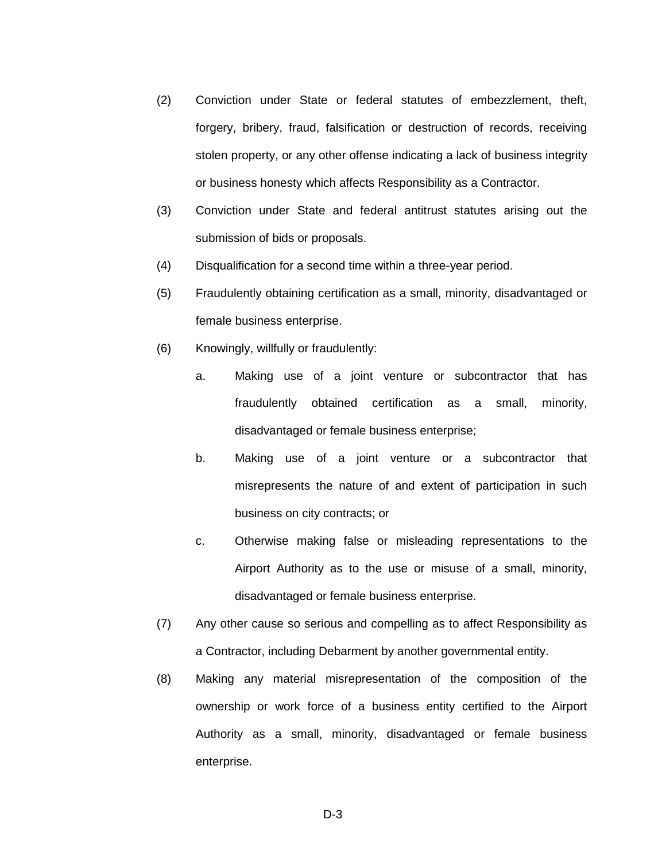- (2) Conviction under State or federal statutes of embezzlement, theft, forgery, bribery, fraud, falsification or destruction of records, receiving stolen property, or any other offense indicating a lack of business integrity or business honesty which affects Responsibility as a Contractor.
- (3) Conviction under State and federal antitrust statutes arising out the submission of bids or proposals.
- (4) Disqualification for a second time within a three-year period.
- (5) Fraudulently obtaining certification as a small, minority, disadvantaged or female business enterprise.
- (6) Knowingly, willfully or fraudulently:
	- a. Making use of a joint venture or subcontractor that has fraudulently obtained certification as a small, minority, disadvantaged or female business enterprise;
	- b. Making use of a joint venture or a subcontractor that misrepresents the nature of and extent of participation in such business on city contracts; or
	- c. Otherwise making false or misleading representations to the Airport Authority as to the use or misuse of a small, minority, disadvantaged or female business enterprise.
- (7) Any other cause so serious and compelling as to affect Responsibility as a Contractor, including Debarment by another governmental entity.
- (8) Making any material misrepresentation of the composition of the ownership or work force of a business entity certified to the Airport Authority as a small, minority, disadvantaged or female business enterprise.

D-3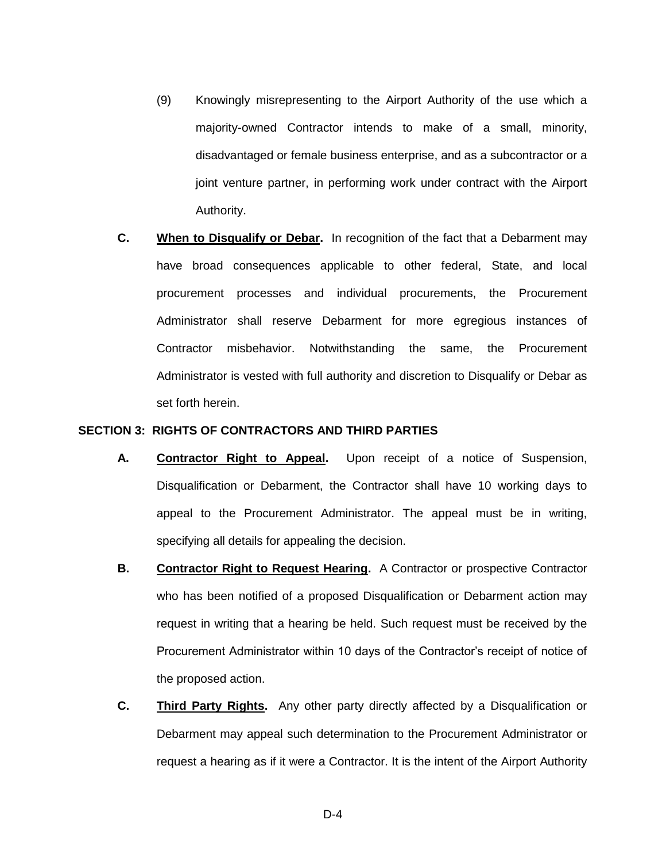- (9) Knowingly misrepresenting to the Airport Authority of the use which a majority-owned Contractor intends to make of a small, minority, disadvantaged or female business enterprise, and as a subcontractor or a joint venture partner, in performing work under contract with the Airport Authority.
- **C. When to Disqualify or Debar.** In recognition of the fact that a Debarment may have broad consequences applicable to other federal, State, and local procurement processes and individual procurements, the Procurement Administrator shall reserve Debarment for more egregious instances of Contractor misbehavior. Notwithstanding the same, the Procurement Administrator is vested with full authority and discretion to Disqualify or Debar as set forth herein.

# **SECTION 3: RIGHTS OF CONTRACTORS AND THIRD PARTIES**

- **A. Contractor Right to Appeal.** Upon receipt of a notice of Suspension, Disqualification or Debarment, the Contractor shall have 10 working days to appeal to the Procurement Administrator. The appeal must be in writing, specifying all details for appealing the decision.
- **B. Contractor Right to Request Hearing.** A Contractor or prospective Contractor who has been notified of a proposed Disqualification or Debarment action may request in writing that a hearing be held. Such request must be received by the Procurement Administrator within 10 days of the Contractor's receipt of notice of the proposed action.
- **C. Third Party Rights.** Any other party directly affected by a Disqualification or Debarment may appeal such determination to the Procurement Administrator or request a hearing as if it were a Contractor. It is the intent of the Airport Authority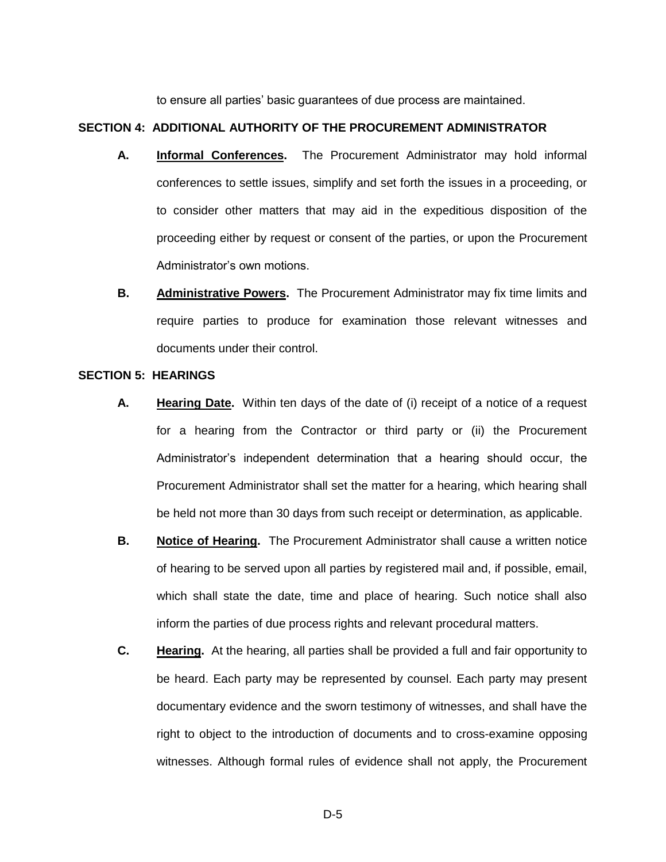to ensure all parties' basic guarantees of due process are maintained.

# **SECTION 4: ADDITIONAL AUTHORITY OF THE PROCUREMENT ADMINISTRATOR**

- **A. Informal Conferences.** The Procurement Administrator may hold informal conferences to settle issues, simplify and set forth the issues in a proceeding, or to consider other matters that may aid in the expeditious disposition of the proceeding either by request or consent of the parties, or upon the Procurement Administrator's own motions.
- **B. Administrative Powers.** The Procurement Administrator may fix time limits and require parties to produce for examination those relevant witnesses and documents under their control.

#### **SECTION 5: HEARINGS**

- **A. Hearing Date.** Within ten days of the date of (i) receipt of a notice of a request for a hearing from the Contractor or third party or (ii) the Procurement Administrator's independent determination that a hearing should occur, the Procurement Administrator shall set the matter for a hearing, which hearing shall be held not more than 30 days from such receipt or determination, as applicable.
- **B. Notice of Hearing.** The Procurement Administrator shall cause a written notice of hearing to be served upon all parties by registered mail and, if possible, email, which shall state the date, time and place of hearing. Such notice shall also inform the parties of due process rights and relevant procedural matters.
- **C. Hearing.** At the hearing, all parties shall be provided a full and fair opportunity to be heard. Each party may be represented by counsel. Each party may present documentary evidence and the sworn testimony of witnesses, and shall have the right to object to the introduction of documents and to cross-examine opposing witnesses. Although formal rules of evidence shall not apply, the Procurement